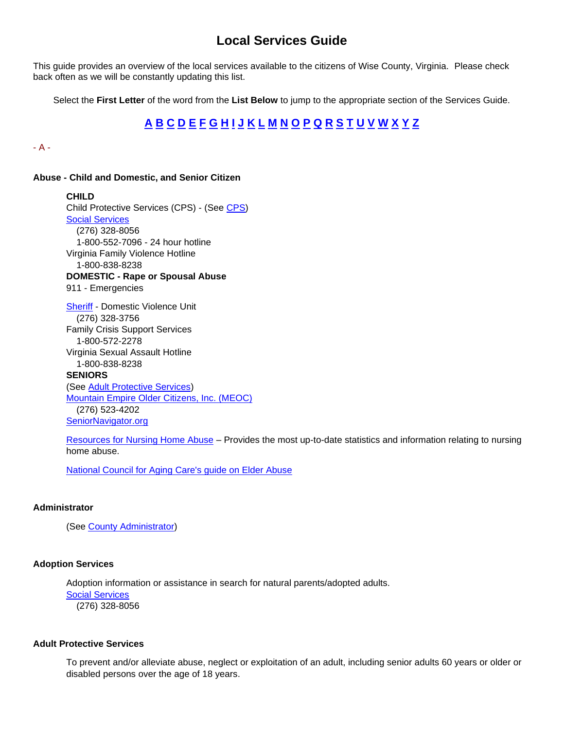# **Local Services Guide**

<span id="page-0-2"></span>This guide provides an overview of the local services available to the citizens of Wise County, Virginia. Please check back often as we will be constantly updating this list.

Select the **First Letter** of the word from the **List Below** to jump to the appropriate section of the Services Guide.

# **[A](#page-0-0)[B](#page-3-0)[C](#page-5-0)[D](#page-9-0)[E](#page-11-0)[F](#page-14-0)[G](#page-15-0)[H](#page-15-1)[I](#page-17-0)[J](#page-18-0)[K](#page-19-0)[L](#page-19-1)[M](#page-21-0)[N](#page-22-0)[O](#page-23-0)[P](#page-23-1)[Q](#page-27-0)[R](#page-27-1)[S](#page-28-0)[T](#page-32-0)[U](#page-33-0)[V](#page-34-0)[W](#page-36-0)[X](#page-37-0)[Y](#page-37-1)[Z](#page-38-0)**

<span id="page-0-0"></span>- A -

#### **Abuse - Child and Domestic, and Senior Citizen**

**CHILD** Child Protective Services (CPS) - (See [CPS\)](#page-5-1) [Social Services](http://www.wisecounty.org/DSS/dss.html) (276) 328-8056 1-800-552-7096 - 24 hour hotline Virginia Family Violence Hotline 1-800-838-8238 **DOMESTIC - Rape or Spousal Abuse** 911 - Emergencies [Sheriff](http://www.wiseso.net/) - Domestic Violence Unit (276) 328-3756 Family Crisis Support Services 1-800-572-2278 Virginia Sexual Assault Hotline 1-800-838-8238 **SENIORS** (See [Adult Protective Services\)](#page-0-1) [Mountain Empire Older Citizens, Inc. \(MEOC\)](http://meoc.org/) (276) 523-4202 [SeniorNavigator.org](http://www.seniornavigator.org/)

[Resources for Nursing Home Abuse](http://www.nursinghomeabusesupport.com/) – Provides the most up-to-date statistics and information relating to nursing home abuse.

[National Council for Aging Care's guide on Elder Abuse](http://www.aginginplace.org/guide-to-recognizing-elder-abuse/)

# **Administrator**

(See [County Administrator\)](http://www.wisecounty.org/Coadmin/coadmin.html)

#### **Adoption Services**

Adoption information or assistance in search for natural parents/adopted adults. [Social Services](http://www.wisecounty.org/DSS/dss.html) (276) 328-8056

### <span id="page-0-1"></span>**Adult Protective Services**

To prevent and/or alleviate abuse, neglect or exploitation of an adult, including senior adults 60 years or older or disabled persons over the age of 18 years.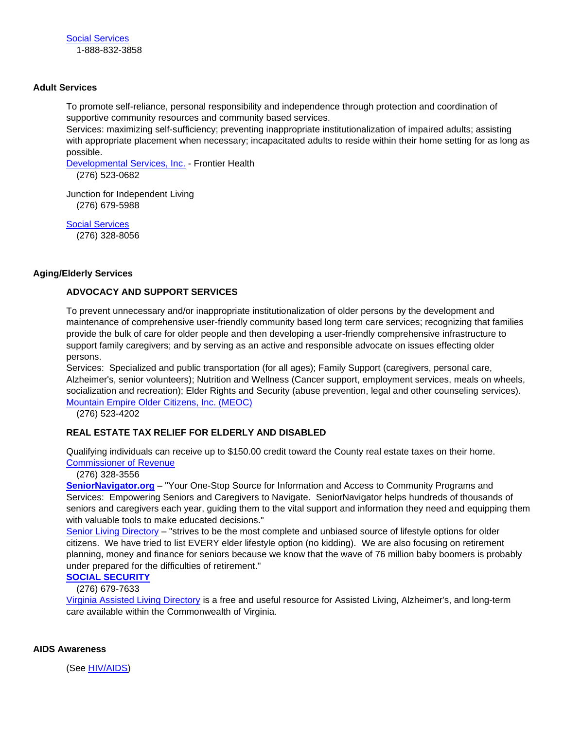## **Adult Services**

To promote self-reliance, personal responsibility and independence through protection and coordination of supportive community resources and community based services.

Services: maximizing self-sufficiency; preventing inappropriate institutionalization of impaired adults; assisting with appropriate placement when necessary; incapacitated adults to reside within their home setting for as long as possible.

[Developmental Services, Inc.](https://www.frontierhealth.org/developmental-disabilities-services/) - Frontier Health

(276) 523-0682

Junction for Independent Living (276) 679-5988

[Social Services](http://www.wisecounty.org/DSS/dss.html) (276) 328-8056

## **Aging/Elderly Services**

# **ADVOCACY AND SUPPORT SERVICES**

To prevent unnecessary and/or inappropriate institutionalization of older persons by the development and maintenance of comprehensive user-friendly community based long term care services; recognizing that families provide the bulk of care for older people and then developing a user-friendly comprehensive infrastructure to support family caregivers; and by serving as an active and responsible advocate on issues effecting older persons.

Services: Specialized and public transportation (for all ages); Family Support (caregivers, personal care, Alzheimer's, senior volunteers); Nutrition and Wellness (Cancer support, employment services, meals on wheels, socialization and recreation); Elder Rights and Security (abuse prevention, legal and other counseling services). [Mountain Empire Older Citizens, Inc. \(MEOC\)](http://meoc.org/)

(276) 523-4202

# **REAL ESTATE TAX RELIEF FOR ELDERLY AND DISABLED**

Qualifying individuals can receive up to \$150.00 credit toward the County real estate taxes on their home. [Commissioner of Revenue](http://www.wisecounty.org/CommRev/commrev.htm)

(276) 328-3556

**[SeniorNavigator.org](http://www.virginianavigator.org/sn/senior-navigator-home-page)** – "Your One-Stop Source for Information and Access to Community Programs and Services: Empowering Seniors and Caregivers to Navigate. SeniorNavigator helps hundreds of thousands of seniors and caregivers each year, guiding them to the vital support and information they need and equipping them with valuable tools to make educated decisions."

[Senior Living Directory](http://www.seniorliving.org/virginia/) - "strives to be the most complete and unbiased source of lifestyle options for older citizens. We have tried to list EVERY elder lifestyle option (no kidding). We are also focusing on retirement planning, money and finance for seniors because we know that the wave of 76 million baby boomers is probably under prepared for the difficulties of retirement."

# **[SOCIAL SECURITY](http://www.ssa.gov/)**

# (276) 679-7633

[Virginia Assisted Living Directory](http://www.assisted-living-directory.com/content/virginia.htm) is a free and useful resource for Assisted Living, Alzheimer's, and long-term care available within the Commonwealth of Virginia.

## **AIDS Awareness**

(See [HIV/AIDS\)](#page-16-0)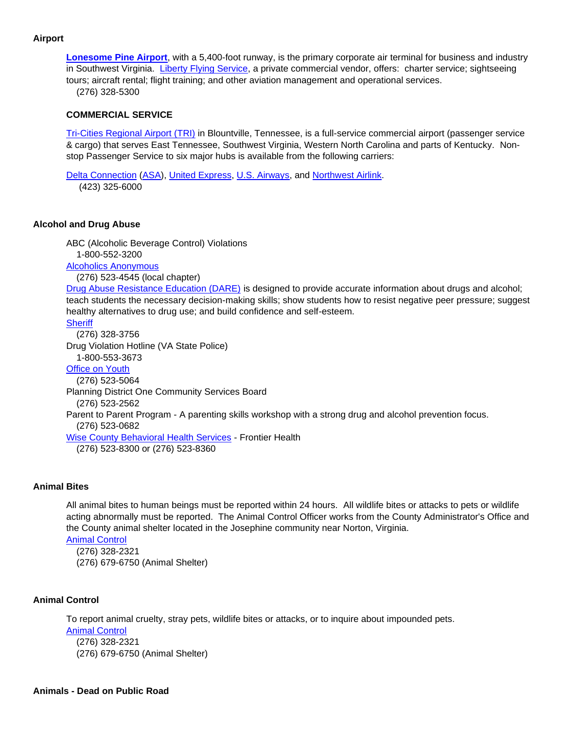# **Airport**

**[Lonesome Pine Airport](http://www.airnav.com/airport/LNP)**, with a 5,400-foot runway, is the primary corporate air terminal for business and industry in Southwest Virginia. [Liberty Flying Service,](http://www.airnav.com/airport/LNP/LIBERTY) a private commercial vendor, offers: charter service; sightseeing tours; aircraft rental; flight training; and other aviation management and operational services. (276) 328-5300

#### **COMMERCIAL SERVICE**

[Tri-Cities Regional Airport \(TRI\)](http://www.triflight.com/) in Blountville, Tennessee, is a full-service commercial airport (passenger service & cargo) that serves East Tennessee, Southwest Virginia, Western North Carolina and parts of Kentucky. Nonstop Passenger Service to six major hubs is available from the following carriers:

[Delta Connection](http://www.delta.com/planning_reservations/plan_flight/flight_partners/delta_connection_carriers/index.jsp) [\(ASA\)](http://www.flyasa.com/), [United Express,](http://www.united.com/) [U.S. Airways,](http://www.usairways.com/) and [Northwest Airlink.](http://www.nwairlink.com/) (423) 325-6000

#### **Alcohol and Drug Abuse**

ABC (Alcoholic Beverage Control) Violations 1-800-552-3200 [Alcoholics Anonymous](http://www.aa.org/) (276) 523-4545 (local chapter) [Drug Abuse Resistance Education \(DARE\)](http://www.dare-america.com/) is designed to provide accurate information about drugs and alcohol; teach students the necessary decision-making skills; show students how to resist negative peer pressure; suggest healthy alternatives to drug use; and build confidence and self-esteem. **[Sheriff](http://www.wiseso.net/)** 

 (276) 328-3756 Drug Violation Hotline (VA State Police) 1-800-553-3673 [Office on Youth](http://lonesomepineofficeonyouth.org/) (276) 523-5064 Planning District One Community Services Board (276) 523-2562 Parent to Parent Program - A parenting skills workshop with a strong drug and alcohol prevention focus. (276) 523-0682 [Wise County Behavioral Health Services](https://www.frontierhealth.org/mental-health-services/) - Frontier Health (276) 523-8300 or (276) 523-8360

# **Animal Bites**

All animal bites to human beings must be reported within 24 hours. All wildlife bites or attacks to pets or wildlife acting abnormally must be reported. The Animal Control Officer works from the County Administrator's Office and the County animal shelter located in the Josephine community near Norton, Virginia. [Animal Control](http://www.wisecounty.org/AnmlCtrl/index.html)

(276) 328-2321 (276) 679-6750 (Animal Shelter)

## **Animal Control**

To report animal cruelty, stray pets, wildlife bites or attacks, or to inquire about impounded pets. [Animal Control](http://www.wisecounty.org/AnmlCtrl/index.html) (276) 328-2321 (276) 679-6750 (Animal Shelter)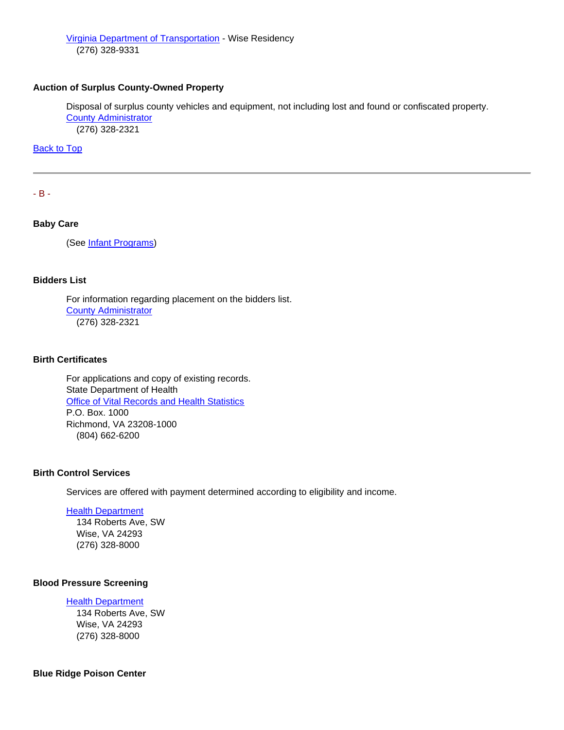# **Auction of Surplus County-Owned Property**

Disposal of surplus county vehicles and equipment, not including lost and found or confiscated property. [County Administrator](http://www.wisecounty.org/Coadmin/coadmin.html) (276) 328-2321

[Back to Top](#page-0-2)

<span id="page-3-0"></span>- B -

## **Baby Care**

(See [Infant Programs\)](#page-18-1)

## **Bidders List**

For information regarding placement on the bidders list. [County Administrator](http://www.wisecounty.org/Coadmin/coadmin.html) (276) 328-2321

## **Birth Certificates**

For applications and copy of existing records. State Department of Health [Office of Vital Records and Health Statistics](http://www.vdh.virginia.gov/Vital_Records/index.htm) P.O. Box. 1000 Richmond, VA 23208-1000 (804) 662-6200

## **Birth Control Services**

Services are offered with payment determined according to eligibility and income.

#### [Health Department](http://www.vdh.virginia.gov/LHD/lenowisco/index.htm)

 134 Roberts Ave, SW Wise, VA 24293 (276) 328-8000

# **Blood Pressure Screening**

#### [Health Department](http://www.vdh.virginia.gov/LHD/lenowisco/index.htm)

 134 Roberts Ave, SW Wise, VA 24293 (276) 328-8000

#### **Blue Ridge Poison Center**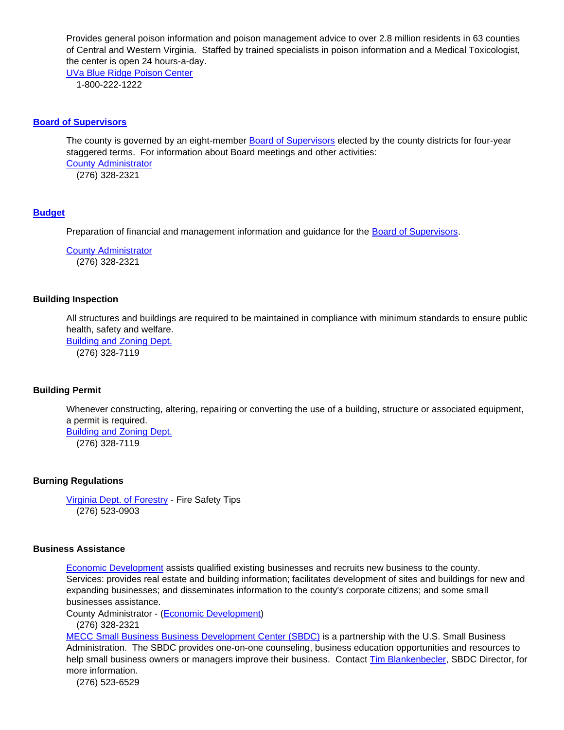Provides general poison information and poison management advice to over 2.8 million residents in 63 counties of Central and Western Virginia. Staffed by trained specialists in poison information and a Medical Toxicologist, the center is open 24 hours-a-day.

[UVa Blue Ridge Poison Center](http://www.healthsystem.virginia.edu/internet/brpc/) 1-800-222-1222

#### **[Board of Supervisors](http://www.wisecounty.org/BOS/bos.html)**

The county is governed by an eight-member [Board of Supervisors](http://www.wisecounty.org/BOS/bos.html) elected by the county districts for four-year staggered terms. For information about Board meetings and other activities: [County Administrator](http://www.wisecounty.org/Coadmin/coadmin.html) (276) 328-2321

## **[Budget](http://www.wisecounty.org/finance/finance.html#budgets)**

Preparation of financial and management information and guidance for the [Board of Supervisors.](http://www.wisecounty.org/BOS/bos.html)

[County Administrator](http://www.wisecounty.org/Coadmin/coadmin.html) (276) 328-2321

#### **Building Inspection**

All structures and buildings are required to be maintained in compliance with minimum standards to ensure public health, safety and welfare.

[Building and Zoning Dept.](http://www.wisecounty.org/BuildingDept/fee.html) (276) 328-7119

#### **Building Permit**

Whenever constructing, altering, repairing or converting the use of a building, structure or associated equipment, a permit is required.

[Building and Zoning Dept.](http://www.wisecounty.org/BuildingDept/fee.html) (276) 328-7119

#### **Burning Regulations**

[Virginia Dept. of Forestry](http://www.dof.virginia.gov/fire/safety/index.htm) - Fire Safety Tips (276) 523-0903

#### **Business Assistance**

[Economic Development](http://www.wisecountydevelopment.org/) assists qualified existing businesses and recruits new business to the county. Services: provides real estate and building information; facilitates development of sites and buildings for new and expanding businesses; and disseminates information to the county's corporate citizens; and some small businesses assistance.

County Administrator - [\(Economic Development\)](http://www.wisecountydevelopment.org/)

(276) 328-2321

[MECC Small Business Business Development Center \(SBDC\)](http://www.mecc.edu/sbdc/) is a partnership with the U.S. Small Business Administration. The SBDC provides one-on-one counseling, business education opportunities and resources to help small business owners or managers improve their business. Contact [Tim Blankenbecler,](mailto:tblankenbecler@mecc.edu) SBDC Director, for more information.

(276) 523-6529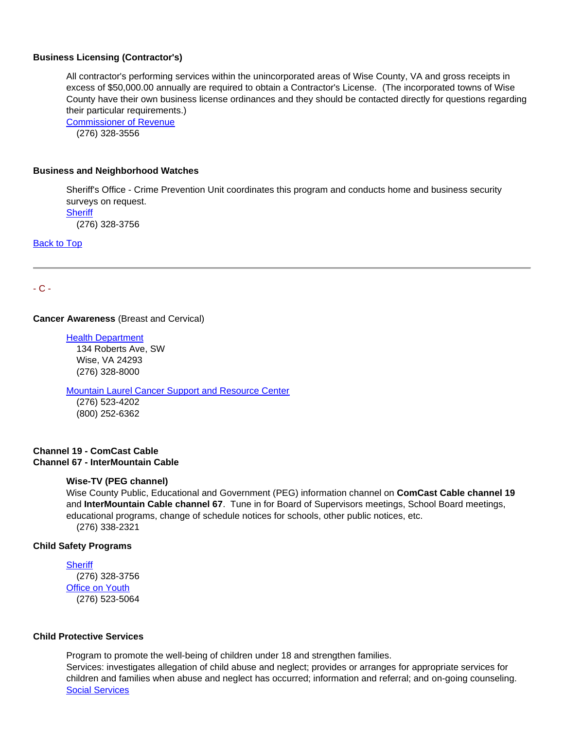#### **Business Licensing (Contractor's)**

All contractor's performing services within the unincorporated areas of Wise County, VA and gross receipts in excess of \$50,000.00 annually are required to obtain a Contractor's License. (The incorporated towns of Wise County have their own business license ordinances and they should be contacted directly for questions regarding their particular requirements.)

[Commissioner of Revenue](http://www.wisecounty.org/CommRev/commrev.htm) (276) 328-3556

#### **Business and Neighborhood Watches**

Sheriff's Office - Crime Prevention Unit coordinates this program and conducts home and business security surveys on request. **[Sheriff](http://www.wiseso.net/)** 

(276) 328-3756

[Back to Top](#page-0-2) 

<span id="page-5-0"></span>- C -

#### **Cancer Awareness** (Breast and Cervical)

[Health Department](http://www.vdh.virginia.gov/LHD/lenowisco/index.htm)  134 Roberts Ave, SW Wise, VA 24293 (276) 328-8000

**[Mountain Laurel Cancer Support and Resource Center](http://www.meoc.org/mountainlaurelcancercentermeoc.htm)** 

 (276) 523-4202 (800) 252-6362

## **Channel 19 - ComCast Cable Channel 67 - InterMountain Cable**

#### **Wise-TV (PEG channel)**

Wise County Public, Educational and Government (PEG) information channel on **ComCast Cable channel 19** and **InterMountain Cable channel 67**. Tune in for Board of Supervisors meetings, School Board meetings, educational programs, change of schedule notices for schools, other public notices, etc. (276) 338-2321

#### **Child Safety Programs**

**[Sheriff](http://www.wiseso.net/)** 

 (276) 328-3756 [Office on Youth](http://lonesomepineofficeonyouth.org/) (276) 523-5064

#### <span id="page-5-1"></span>**Child Protective Services**

Program to promote the well-being of children under 18 and strengthen families. Services: investigates allegation of child abuse and neglect; provides or arranges for appropriate services for children and families when abuse and neglect has occurred; information and referral; and on-going counseling. [Social Services](http://www.wisecounty.org/DSS/dss.html)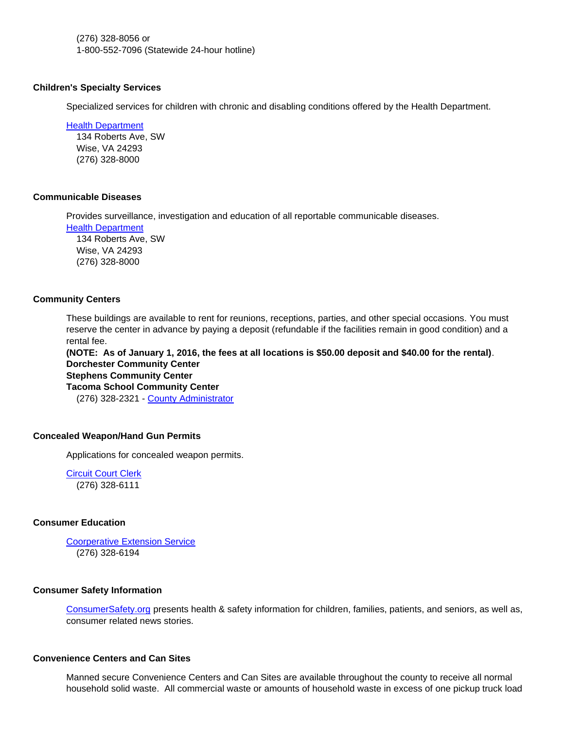(276) 328-8056 or 1-800-552-7096 (Statewide 24-hour hotline)

#### **Children's Specialty Services**

Specialized services for children with chronic and disabling conditions offered by the Health Department.

[Health Department](http://www.vdh.virginia.gov/LHD/lenowisco/index.htm) 

 134 Roberts Ave, SW Wise, VA 24293 (276) 328-8000

#### **Communicable Diseases**

Provides surveillance, investigation and education of all reportable communicable diseases.

[Health Department](http://www.vdh.virginia.gov/LHD/lenowisco/index.htm)

 134 Roberts Ave, SW Wise, VA 24293 (276) 328-8000

## **Community Centers**

These buildings are available to rent for reunions, receptions, parties, and other special occasions. You must reserve the center in advance by paying a deposit (refundable if the facilities remain in good condition) and a rental fee.

**(NOTE: As of January 1, 2016, the fees at all locations is \$50.00 deposit and \$40.00 for the rental)**. **Dorchester Community Center Stephens Community Center**

**Tacoma School Community Center** (276) 328-2321 - [County Administrator](http://www.wisecounty.org/Coadmin/coadmin.html)

# **Concealed Weapon/Hand Gun Permits**

Applications for concealed weapon permits.

[Circuit Court Clerk](http://www.courtbar.org/) (276) 328-6111

# **Consumer Education**

[Coorperative Extension Service](http://offices.ext.vt.edu/wise/) (276) 328-6194

## **Consumer Safety Information**

[ConsumerSafety.org](https://www.consumersafety.org/) presents health & safety information for children, families, patients, and seniors, as well as, consumer related news stories.

#### <span id="page-6-0"></span>**Convenience Centers and Can Sites**

Manned secure Convenience Centers and Can Sites are available throughout the county to receive all normal household solid waste. All commercial waste or amounts of household waste in excess of one pickup truck load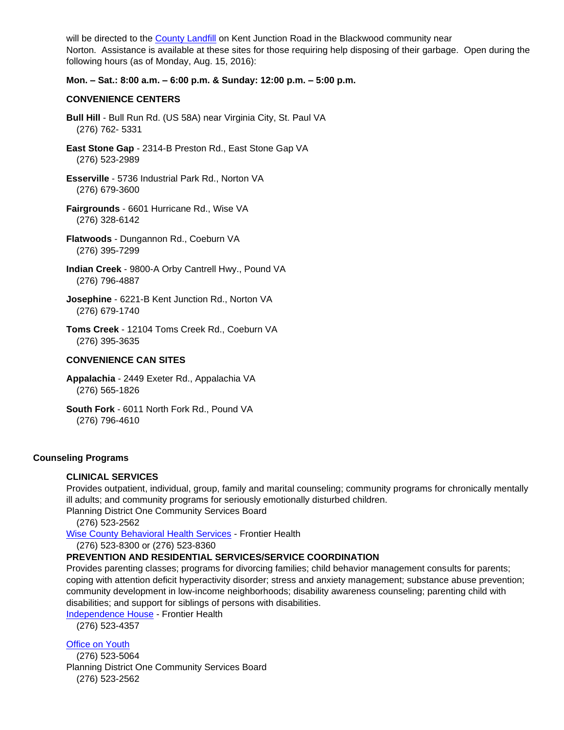will be directed to the [County Landfill](#page-19-2) on Kent Junction Road in the Blackwood community near Norton. Assistance is available at these sites for those requiring help disposing of their garbage. Open during the following hours (as of Monday, Aug. 15, 2016):

## **Mon. – Sat.: 8:00 a.m. – 6:00 p.m. & Sunday: 12:00 p.m. – 5:00 p.m.**

## **CONVENIENCE CENTERS**

- **Bull Hill** Bull Run Rd. (US 58A) near Virginia City, St. Paul VA (276) 762- 5331
- **East Stone Gap** 2314-B Preston Rd., East Stone Gap VA (276) 523-2989
- **Esserville** 5736 Industrial Park Rd., Norton VA (276) 679-3600
- **Fairgrounds** 6601 Hurricane Rd., Wise VA (276) 328-6142
- **Flatwoods** Dungannon Rd., Coeburn VA (276) 395-7299
- **Indian Creek** 9800-A Orby Cantrell Hwy., Pound VA (276) 796-4887
- **Josephine** 6221-B Kent Junction Rd., Norton VA (276) 679-1740
- **Toms Creek** 12104 Toms Creek Rd., Coeburn VA (276) 395-3635

## **CONVENIENCE CAN SITES**

- **Appalachia** 2449 Exeter Rd., Appalachia VA (276) 565-1826
- **South Fork** 6011 North Fork Rd., Pound VA (276) 796-4610

## **Counseling Programs**

# **CLINICAL SERVICES**

Provides outpatient, individual, group, family and marital counseling; community programs for chronically mentally ill adults; and community programs for seriously emotionally disturbed children. Planning District One Community Services Board

(276) 523-256[2](https://www.frontierhealth.org/mental-health-services/)

[Wise County Behavioral Health Services](https://www.frontierhealth.org/mental-health-services/) - Frontier Health

(276) 523-8300 or (276) 523-8360

## **PREVENTION AND RESIDENTIAL SERVICES/SERVICE COORDINATION**

Provides parenting classes; programs for divorcing families; child behavior management consults for parents; coping with attention deficit hyperactivity disorder; stress and anxiety management; substance abuse prevention; community development in low-income neighborhoods; disability awareness counseling; parenting child with disabilities; and support for siblings of persons with disabilities.

[Independence House](https://www.frontierhealth.org/developmental-disabilities-services/) - Frontier Health

(276) 523-4357

## [Office on Youth](http://www.lpoy.org/)

 (276) 523-5064 Planning District One Community Services Board (276) 523-2562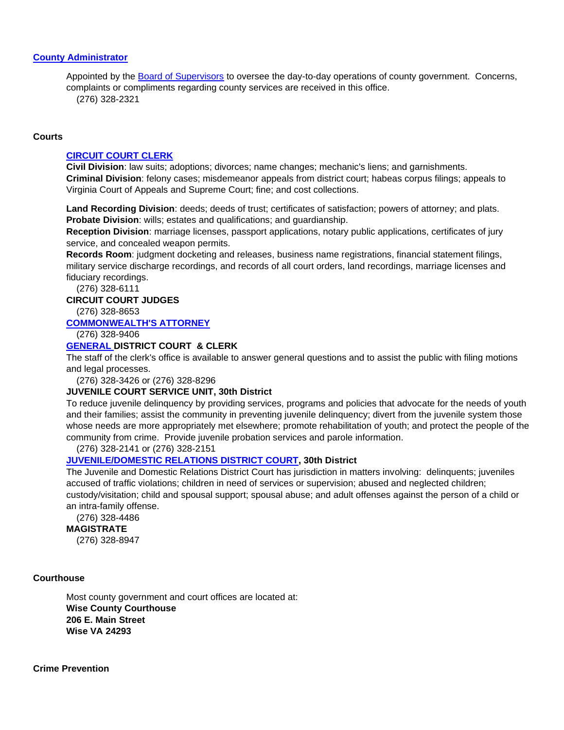# **[County Administrator](http://www.wisecounty.org/Coadmin/coadmin.html)**

Appointed by the [Board of Supervisors](http://www.wisecounty.org/BOS/bos.html) to oversee the day-to-day operations of county government. Concerns, complaints or compliments regarding county services are received in this office. (276) 328-2321

#### **Courts**

#### **[CIRCUIT COURT CLERK](http://www.courtbar.org/)**

**Civil Division**: law suits; adoptions; divorces; name changes; mechanic's liens; and garnishments. **Criminal Division**: felony cases; misdemeanor appeals from district court; habeas corpus filings; appeals to Virginia Court of Appeals and Supreme Court; fine; and cost collections.

**Land Recording Division**: deeds; deeds of trust; certificates of satisfaction; powers of attorney; and plats. **Probate Division**: wills; estates and qualifications; and guardianship.

**Reception Division**: marriage licenses, passport applications, notary public applications, certificates of jury service, and concealed weapon permits.

**Records Room**: judgment docketing and releases, business name registrations, financial statement filings, military service discharge recordings, and records of all court orders, land recordings, marriage licenses and fiduciary recordings.

(276) 328-6111

#### **CIRCUIT COURT JUDGES**

(276) 328-8653

# **[COMMONWEALTH'S ATTORNEY](http://www.wisecwa.com/)**

(276) 328-9406

# **[GENERAL DISTRICT COURT](http://www.courts.state.va.us/courts/gd/Wise~Norton/home.html) & CLERK**

The staff of the clerk's office is available to answer general questions and to assist the public with filing motions and legal processes.

(276) 328-3426 or (276) 328-8296

#### **JUVENILE COURT SERVICE UNIT, 30th District**

To reduce juvenile delinquency by providing services, programs and policies that advocate for the needs of youth and their families; assist the community in preventing juvenile delinquency; divert from the juvenile system those whose needs are more appropriately met elsewhere; promote rehabilitation of youth; and protect the people of the community from crime. Provide juvenile probation services and parole information.

(276) 328-2141 or (276) 328-2151

## **[JUVENILE/DOMESTIC RELATIONS DISTRICT COURT,](http://www.courts.state.va.us/courts/jdr/Wise/home.html) 30th District**

The Juvenile and Domestic Relations District Court has jurisdiction in matters involving: delinquents; juveniles accused of traffic violations; children in need of services or supervision; abused and neglected children; custody/visitation; child and spousal support; spousal abuse; and adult offenses against the person of a child or an intra-family offense.

(276) 328-4486

**MAGISTRATE**

(276) 328-8947

## **Courthouse**

Most county government and court offices are located at: **Wise County Courthouse 206 E. Main Street Wise VA 24293**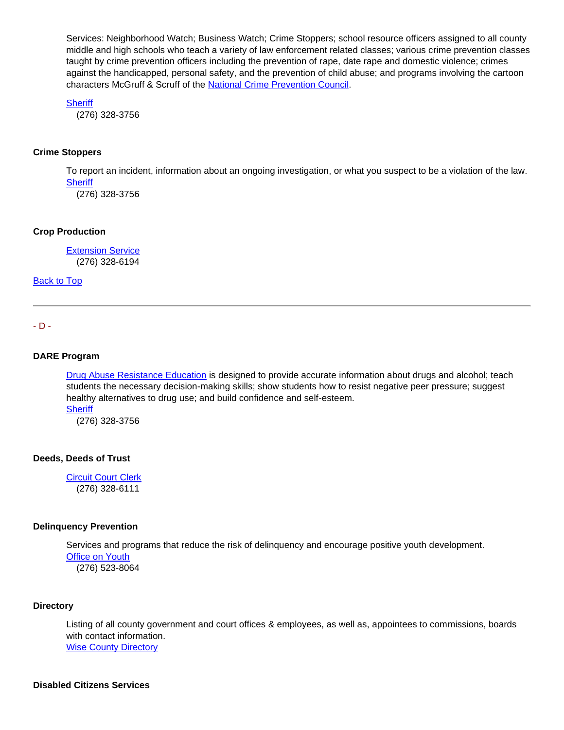Services: Neighborhood Watch; Business Watch; Crime Stoppers; school resource officers assigned to all county middle and high schools who teach a variety of law enforcement related classes; various crime prevention classes taught by crime prevention officers including the prevention of rape, date rape and domestic violence; crimes against the handicapped, personal safety, and the prevention of child abuse; and programs involving the cartoon characters McGruff & Scruff of the [National Crime Prevention Council.](http://www.ncpc.org/)

**[Sheriff](http://www.wiseso.net/)** 

(276) 328-3756

## **Crime Stoppers**

To report an incident, information about an ongoing investigation, or what you suspect to be a violation of the law. **[Sheriff](http://www.wiseso.net/)** 

(276) 328-3756

#### **Crop Production**

[Extension Service](http://offices.ext.vt.edu/wise/) (276) 328-6194

[Back to Top](#page-0-2)

<span id="page-9-0"></span>- D -

#### **DARE Program**

[Drug Abuse Resistance Education](http://www.dare-america.com/) is designed to provide accurate information about drugs and alcohol; teach students the necessary decision-making skills; show students how to resist negative peer pressure; suggest healthy alternatives to drug use; and build confidence and self-esteem. **[Sheriff](http://www.wiseso.net/)** 

(276) 328-3756

#### **Deeds, Deeds of Trust**

[Circuit Court Clerk](http://www.courtbar.org/) (276) 328-6111

#### **Delinquency Prevention**

Services and programs that reduce the risk of delinquency and encourage positive youth development.

[Office on Youth](http://www.lpoy.org/) (276) 523-8064

## **Directory**

Listing of all county government and court offices & employees, as well as, appointees to commissions, boards with contact information. [Wise County Directory](http://www.wisecounty.org/Directory/County_Directory.html)

## **Disabled Citizens Services**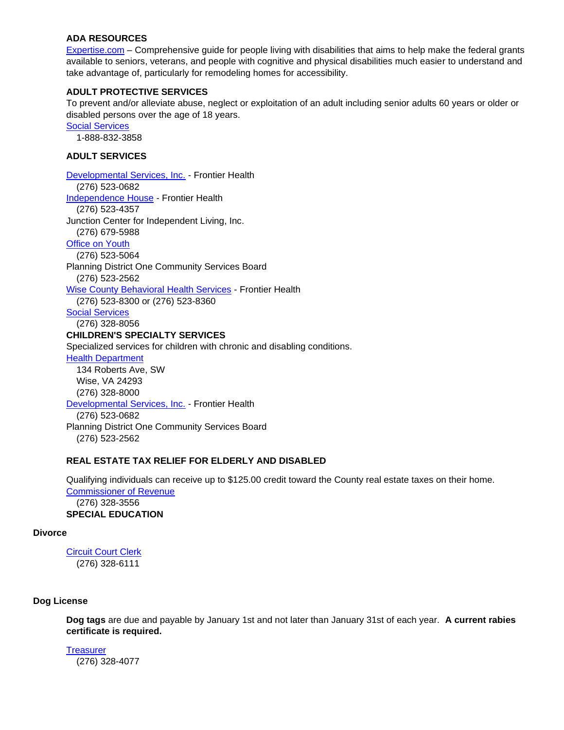## **ADA RESOURCES**

[Expertise.com](http://www.expertise.com/home-and-garden/home-remodeling-for-disability-and-special-needs) – Comprehensive guide for people living with disabilities that aims to help make the federal grants available to seniors, veterans, and people with cognitive and physical disabilities much easier to understand and take advantage of, particularly for remodeling homes for accessibility.

# **ADULT PROTECTIVE SERVICES**

To prevent and/or alleviate abuse, neglect or exploitation of an adult including senior adults 60 years or older or disabled persons over the age of 18 years.

[Social Services](http://www.wisecounty.org/DSS/dss.html)

1-888-832-3858

## **ADULT SERVICES**

[Developmental Services, Inc.](https://www.frontierhealth.org/developmental-disabilities-services/) - Frontier Health (276) 523-0682 [Independence House](https://www.frontierhealth.org/developmental-disabilities-services/) - Frontier Health (276) 523-4357 Junction Center for Independent Living, Inc. (276) 679-5988 [Office on Youth](http://www.lpoy.org/) (276) 523-5064 Planning District One Community Services Board (276) 523-256[2](https://www.frontierhealth.org/mental-health-services/) [Wise County Behavioral Health Services](https://www.frontierhealth.org/mental-health-services/) - Frontier Health (276) 523-8300 or (276) 523-8360 [Social Services](http://www.wisecounty.org/DSS/dss.html) (276) 328-8056 **CHILDREN'S SPECIALTY SERVICES** Specialized services for children with chronic and disabling conditions. [Health Department](http://www.vdh.virginia.gov/LHD/lenowisco/index.htm)  134 Roberts Ave, SW Wise, VA 24293 (276) 328-8000 [Developmental Services, Inc.](https://www.frontierhealth.org/developmental-disabilities-services/) - Frontier Health (276) 523-0682 Planning District One Community Services Board (276) 523-2562

## **REAL ESTATE TAX RELIEF FOR ELDERLY AND DISABLED**

Qualifying individuals can receive up to \$125.00 credit toward the County real estate taxes on their home. [Commissioner of Revenue](http://www.wisecounty.org/CommRev/commrev.htm)

 (276) 328-3556 **SPECIAL EDUCATION**

## **Divorce**

[Circuit Court Clerk](http://www.courtbar.org/) (276) 328-6111

## **Dog License**

**Dog tags** are due and payable by January 1st and not later than January 31st of each year. **A current rabies certificate is required.**

**[Treasurer](http://www.wisecounty.org/Treasurer/dog_tags.html)** (276) 328-4077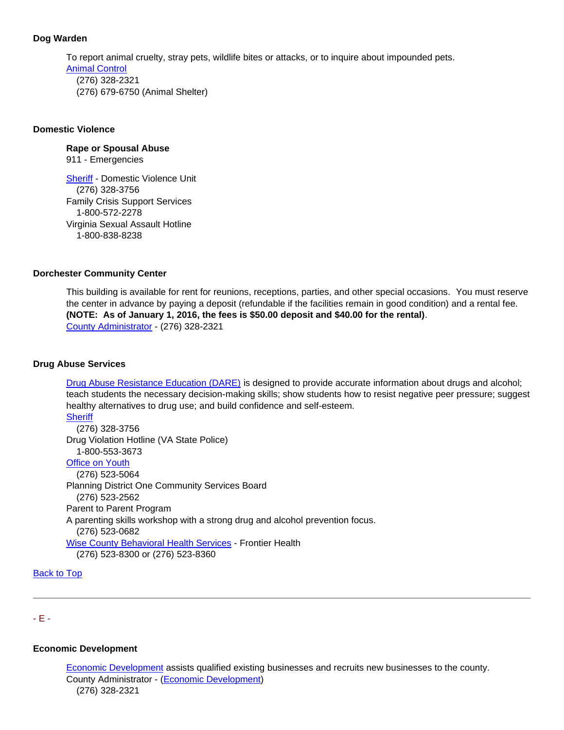# **Dog Warden**

To report animal cruelty, stray pets, wildlife bites or attacks, or to inquire about impounded pets. [Animal Control](http://www.wisecounty.org/AnmlCtrl/index.html) (276) 328-2321 (276) 679-6750 (Animal Shelter)

## **Domestic Violence**

# **Rape or Spousal Abuse**

911 - Emergencies

[Sheriff](http://www.wiseso.net/) - Domestic Violence Unit (276) 328-3756 Family Crisis Support Services 1-800-572-2278 Virginia Sexual Assault Hotline 1-800-838-8238

## **Dorchester Community Center**

This building is available for rent for reunions, receptions, parties, and other special occasions. You must reserve the center in advance by paying a deposit (refundable if the facilities remain in good condition) and a rental fee. **(NOTE: As of January 1, 2016, the fees is \$50.00 deposit and \$40.00 for the rental)**. [County Administrator](http://www.wisecounty.org/Coadmin/coadmin.html) - (276) 328-2321

## **Drug Abuse Services**

[Drug Abuse Resistance Education \(DARE\)](http://www.dare-america.com/) is designed to provide accurate information about drugs and alcohol; teach students the necessary decision-making skills; show students how to resist negative peer pressure; suggest healthy alternatives to drug use; and build confidence and self-esteem. **[Sheriff](http://www.wiseso.net/)** 

 (276) 328-3756 Drug Violation Hotline (VA State Police) 1-800-553-3673 [Office on Youth](http://www.lpoy.org/) (276) 523-5064 Planning District One Community Services Board (276) 523-2562 Parent to Parent Program A parenting skills workshop with a strong drug and alcohol prevention focus. (276) 523-0682 [Wise County Behavioral Health Services](https://www.frontierhealth.org/mental-health-services/) - Frontier Health

(276) 523-8300 or (276) 523-8360

[Back to Top](#page-0-2)

# <span id="page-11-0"></span>- E -

## **Economic Development**

[Economic Development](http://www.wisecountydevelopment.org/) assists qualified existing businesses and recruits new businesses to the county. County Administrator - [\(Economic Development\)](http://www.wisecountydevelopment.org/) (276) 328-2321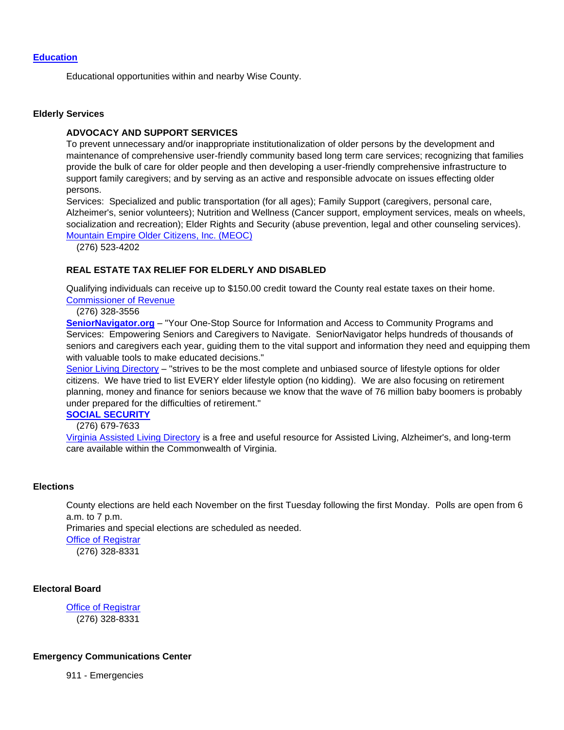#### **[Education](http://www.wisecounty.org/schools.html)**

Educational opportunities within and nearby Wise County.

#### **Elderly Services**

#### **ADVOCACY AND SUPPORT SERVICES**

To prevent unnecessary and/or inappropriate institutionalization of older persons by the development and maintenance of comprehensive user-friendly community based long term care services; recognizing that families provide the bulk of care for older people and then developing a user-friendly comprehensive infrastructure to support family caregivers; and by serving as an active and responsible advocate on issues effecting older persons.

Services: Specialized and public transportation (for all ages); Family Support (caregivers, personal care, Alzheimer's, senior volunteers); Nutrition and Wellness (Cancer support, employment services, meals on wheels, socialization and recreation); Elder Rights and Security (abuse prevention, legal and other counseling services). [Mountain Empire Older Citizens, Inc. \(MEOC\)](http://meoc.org/)

(276) 523-4202

## **REAL ESTATE TAX RELIEF FOR ELDERLY AND DISABLED**

Qualifying individuals can receive up to \$150.00 credit toward the County real estate taxes on their home. [Commissioner of Revenue](http://www.wisecounty.org/CommRev/commrev.htm)

(276) 328-3556

**[SeniorNavigator.org](http://www.virginianavigator.org/sn/senior-navigator-home-page)** – "Your One-Stop Source for Information and Access to Community Programs and Services: Empowering Seniors and Caregivers to Navigate. SeniorNavigator helps hundreds of thousands of seniors and caregivers each year, guiding them to the vital support and information they need and equipping them with valuable tools to make educated decisions."

[Senior Living Directory](http://www.seniorliving.org/virginia/) – "strives to be the most complete and unbiased source of lifestyle options for older citizens. We have tried to list EVERY elder lifestyle option (no kidding). We are also focusing on retirement planning, money and finance for seniors because we know that the wave of 76 million baby boomers is probably under prepared for the difficulties of retirement."

# **[SOCIAL SECURITY](http://www.ssa.gov/)**

(276) 679-7633

[Virginia Assisted Living Directory](http://www.assisted-living-directory.com/content/virginia.htm) is a free and useful resource for Assisted Living, Alzheimer's, and long-term care available within the Commonwealth of Virginia.

#### **Elections**

County elections are held each November on the first Tuesday following the first Monday. Polls are open from 6 a.m. to 7 p.m.

Primaries and special elections are scheduled as needed.

[Office of Registrar](http://www.wisecounty.org/registrar/registrar.html)

(276) 328-8331

# **Electoral Board**

[Office of Registrar](http://www.wisecounty.org/registrar/registrar.html) (276) 328-8331

#### **Emergency Communications Center**

911 - Emergencies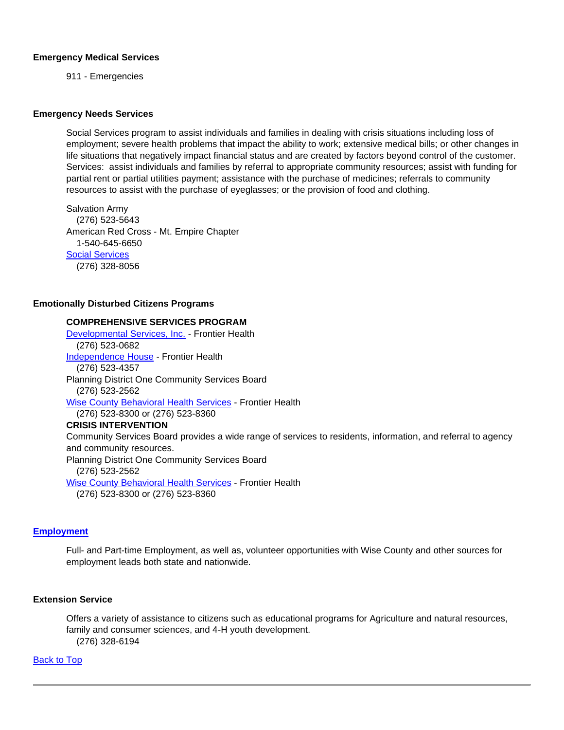#### **Emergency Medical Services**

911 - Emergencies

#### **Emergency Needs Services**

Social Services program to assist individuals and families in dealing with crisis situations including loss of employment; severe health problems that impact the ability to work; extensive medical bills; or other changes in life situations that negatively impact financial status and are created by factors beyond control of the customer. Services: assist individuals and families by referral to appropriate community resources; assist with funding for partial rent or partial utilities payment; assistance with the purchase of medicines; referrals to community resources to assist with the purchase of eyeglasses; or the provision of food and clothing.

Salvation Army (276) 523-5643 American Red Cross - Mt. Empire Chapter 1-540-645-6650 [Social Services](http://www.wisecounty.org/DSS/dss.html) (276) 328-8056

## **Emotionally Disturbed Citizens Programs**

# **COMPREHENSIVE SERVICES PROGRAM** [Developmental Services, Inc.](https://www.frontierhealth.org/developmental-disabilities-services/) - Frontier Health (276) 523-0682 [Independence House](https://www.frontierhealth.org/developmental-disabilities-services/) - Frontier Health (276) 523-4357 Planning District One Community Services Board (276) 523-256[2](https://www.frontierhealth.org/mental-health-services/) [Wise County Behavioral Health Services](https://www.frontierhealth.org/mental-health-services/) - Frontier Health (276) 523-8300 or (276) 523-8360 **CRISIS INTERVENTION** Community Services Board provides a wide range of services to residents, information, and referral to agency and community resources. Planning District One Community Services Board (276) 523-256[2](https://www.frontierhealth.org/mental-health-services/) [Wise County Behavioral Health Services](https://www.frontierhealth.org/mental-health-services/) - Frontier Health (276) 523-8300 or (276) 523-8360

# **[Employment](http://www.wisecounty.org/Employment/employment.html)**

Full- and Part-time Employment, as well as, volunteer opportunities with Wise County and other sources for employment leads both state and nationwide.

# **[Extension Service](http://offices.ext.vt.edu/wise/)**

Offers a variety of assistance to citizens such as educational programs for Agriculture and natural resources, family and consumer sciences, and 4-H youth development. (276) 328-6194

[Back to Top](#page-0-2)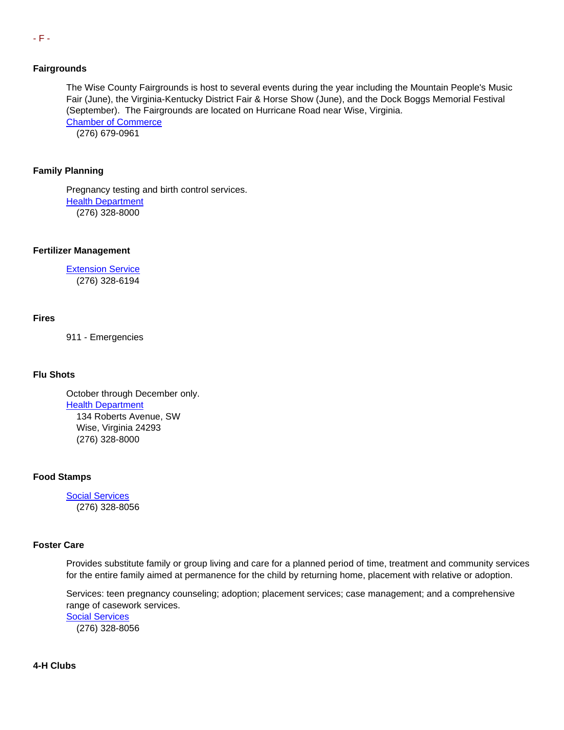#### <span id="page-14-0"></span>**Fairgrounds**

The Wise County Fairgrounds is host to several events during the year including the Mountain People's Music Fair (June), the Virginia-Kentucky District Fair & Horse Show (June), and the Dock Boggs Memorial Festival (September). The Fairgrounds are located on Hurricane Road near Wise, Virginia. [Chamber of Commerce](http://www.wisecountychamber.org/) (276) 679-0961

## **Family Planning**

Pregnancy testing and birth control services. [Health Department](http://www.vdh.virginia.gov/LHD/lenowisco/index.htm) (276) 328-8000

#### **Fertilizer Management**

**[Extension Service](http://offices.ext.vt.edu/wise/)** (276) 328-6194

#### **Fires**

911 - Emergencies

#### **Flu Shots**

October through December only. [Health Department](http://www.vdh.virginia.gov/LHD/lenowisco/index.htm) 134 Roberts Avenue, SW Wise, Virginia 24293 (276) 328-8000

## **Food Stamps**

[Social Services](http://www.wisecounty.org/DSS/dss.html) (276) 328-8056

#### **Foster Care**

Provides substitute family or group living and care for a planned period of time, treatment and community services for the entire family aimed at permanence for the child by returning home, placement with relative or adoption.

Services: teen pregnancy counseling; adoption; placement services; case management; and a comprehensive range of casework services.

[Social Services](http://www.wisecounty.org/DSS/dss.html) (276) 328-8056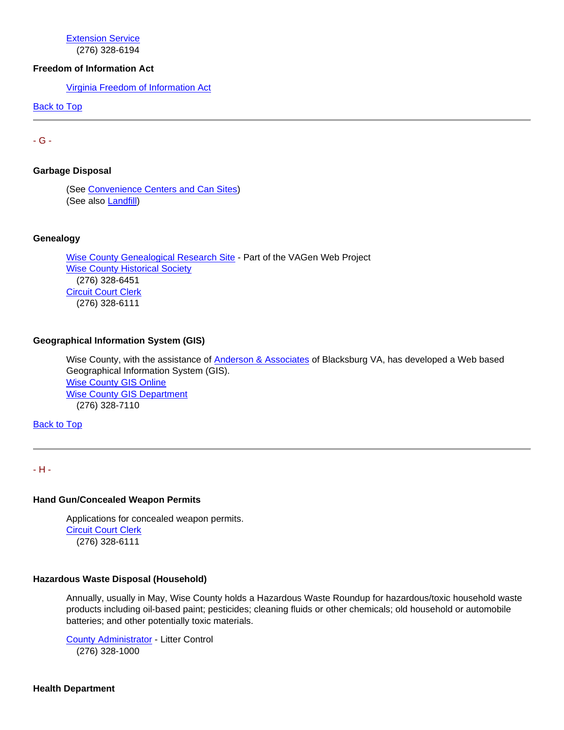[Extension Service](http://offices.ext.vt.edu/wise/) (276) 328-6194

## **Freedom of Information Act**

[Virginia Freedom of Information Act](http://foiacouncil.dls.virginia.gov/)

[Back to Top](#page-0-2)

<span id="page-15-0"></span>- G -

**Garbage Disposal**

(See [Convenience Centers and Can Sites\)](#page-6-0) (See also **Landfill**)

## **Genealogy**

[Wise County Genealogical Research Site](http://www.vagenweb.org/wise/) - Part of the VAGen Web Project **[Wise County Historical Society](http://www.wisevahistoricalsoc.org/)**  (276) 328-6451 [Circuit Court Clerk](http://www.courtbar.org/) (276) 328-6111

## **Geographical Information System (GIS)**

Wise County, with the assistance of [Anderson & Associates](http://www.andassoc.com/) of Blacksburg VA, has developed a Web based Geographical Information System (GIS). [Wise County GIS Online](https://www.webgis.net/va/Wise/) [Wise County GIS Department](http://www.wisecounty.org/GIS/index.html) (276) 328-7110

**[Back to Top](#page-0-2)** 

<span id="page-15-1"></span>- H -

## **Hand Gun/Concealed Weapon Permits**

Applications for concealed weapon permits. [Circuit Court Clerk](http://www.courtbar.org/) (276) 328-6111

## **Hazardous Waste Disposal (Household)**

Annually, usually in May, Wise County holds a Hazardous Waste Roundup for hazardous/toxic household waste products including oil-based paint; pesticides; cleaning fluids or other chemicals; old household or automobile batteries; and other potentially toxic materials.

[County Administrator](http://www.wisecounty.org/Coadmin/coadmin.html#Litter_Control) - Litter Control (276) 328-1000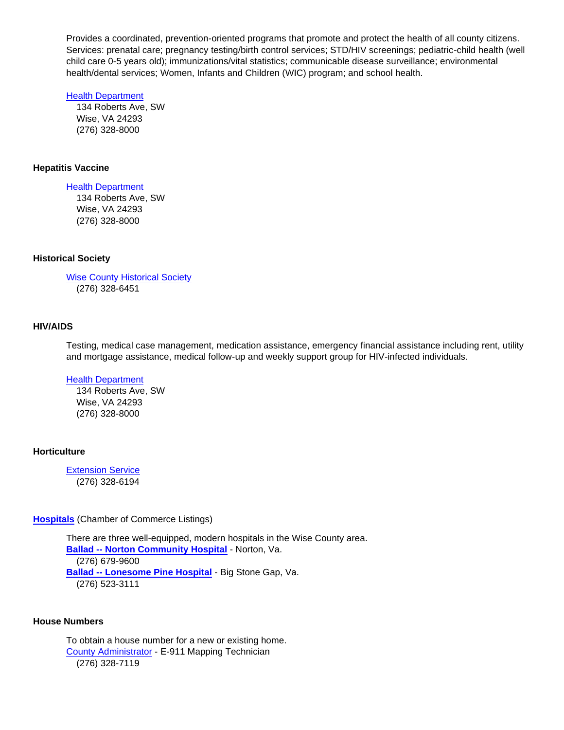Provides a coordinated, prevention-oriented programs that promote and protect the health of all county citizens. Services: prenatal care; pregnancy testing/birth control services; STD/HIV screenings; pediatric-child health (well child care 0-5 years old); immunizations/vital statistics; communicable disease surveillance; environmental health/dental services; Women, Infants and Children (WIC) program; and school health.

#### **[Health Department](http://www.vdh.virginia.gov/LHD/lenowisco/index.htm)**

 134 Roberts Ave, SW Wise, VA 24293 (276) 328-8000

## **Hepatitis Vaccine**

## [Health Department](http://www.vdh.virginia.gov/LHD/lenowisco/index.htm)

 134 Roberts Ave, SW Wise, VA 24293 (276) 328-8000

## **Historical Society**

[Wise County Historical Society](http://www.wisevahistoricalsoc.org/) (276) 328-6451

## <span id="page-16-0"></span>**HIV/AIDS**

Testing, medical case management, medication assistance, emergency financial assistance including rent, utility and mortgage assistance, medical follow-up and weekly support group for HIV-infected individuals.

# [Health Department](http://www.vdh.virginia.gov/LHD/lenowisco/index.htm)

 134 Roberts Ave, SW Wise, VA 24293 (276) 328-8000

# **Horticulture**

**[Extension Service](http://offices.ext.vt.edu/wise/)** (276) 328-6194

**[Hospitals](http://www.wisecountychamber.org/?q=relocation/hospitals)** (Chamber of Commerce Listings)

There are three well-equipped, modern hospitals in the Wise County area. **Ballad -- [Norton Community Hospital](https://www.balladhealth.org/hospitals/norton-community)** - Norton, Va. (276) 679-9600 **Ballad -- [Lonesome Pine Hospital](https://www.balladhealth.org/hospitals/lonesome-pine-big-stone-gap)** - Big Stone Gap, Va. (276) 523-3111

## **House Numbers**

To obtain a house number for a new or existing home. [County Administrator](http://www.wisecounty.org/Coadmin/coadmin.html#E911_Maps) - E-911 Mapping Technician (276) 328-7119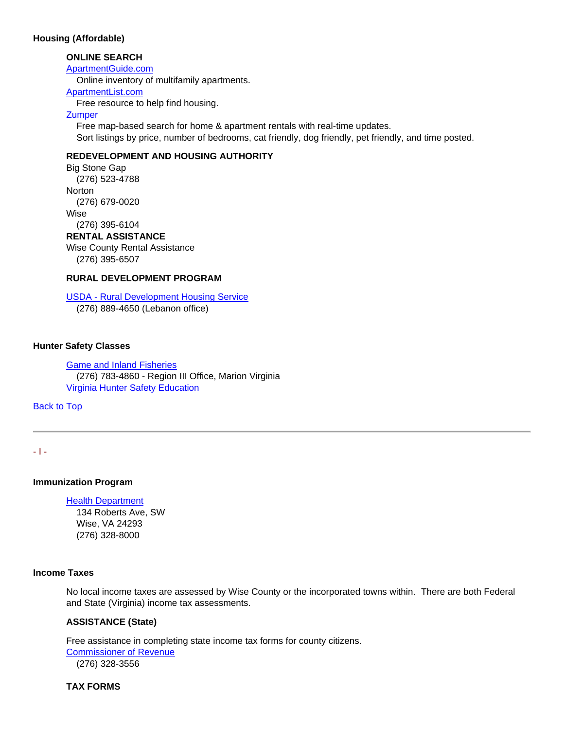## **Housing (Affordable)**

# **ONLINE SEARCH**

#### [ApartmentGuide.com](http://www.apartmentguide.com/)

Online inventory of multifamily apartments.

#### [ApartmentList.com](http://apartmentlist.com/va/wise-county)

Free resource to help find housing.

## **[Zumper](https://www.zumper.com/apartments-for-rent/Wise-VA)**

 Free map-based search for home & apartment rentals with real-time updates. Sort listings by price, number of bedrooms, cat friendly, dog friendly, pet friendly, and time posted.

# **REDEVELOPMENT AND HOUSING AUTHORITY**

Big Stone Gap (276) 523-4788 **Norton**  (276) 679-0020 Wise (276) 395-6104

# **RENTAL ASSISTANCE**

Wise County Rental Assistance (276) 395-6507

## **RURAL DEVELOPMENT PROGRAM**

USDA - [Rural Development Housing Service](http://www.rd.usda.gov/va)

(276) 889-4650 (Lebanon office)

## **Hunter Safety Classes**

[Game and Inland Fisheries](http://www.dgif.virginia.gov/) (276) 783-4860 - Region III Office, Marion Virginia [Virginia Hunter Safety Education](http://www.dgif.virginia.gov/hunting/education) 

[Back to Top](#page-0-2)

<span id="page-17-0"></span>- I -

## **Immunization Program**

[Health Department](http://www.vdh.virginia.gov/LHD/lenowisco/index.htm)  134 Roberts Ave, SW Wise, VA 24293 (276) 328-8000

# **Income Taxes**

No local income taxes are assessed by Wise County or the incorporated towns within. There are both Federal and State (Virginia) income tax assessments.

# **ASSISTANCE (State)**

Free assistance in completing state income tax forms for county citizens. [Commissioner of Revenue](http://www.wisecounty.org/CommRev/commrev.htm)

(276) 328-3556

**TAX FORMS**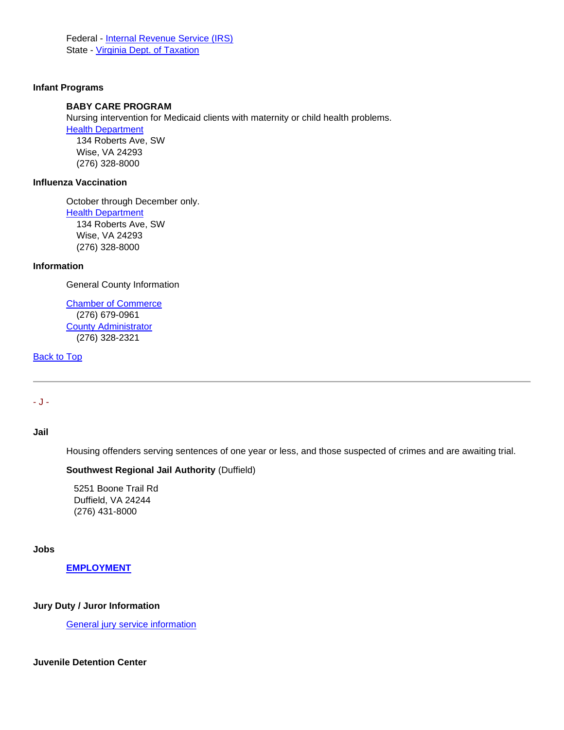Federal - [Internal Revenue Service \(IRS\)](http://www.irs.ustreas.gov/formspubs/index.html) State - [Virginia Dept. of Taxation](http://www.tax.virginia.gov/site.cfm?alias=NeedAForm)

## <span id="page-18-1"></span>**Infant Programs**

# **BABY CARE PROGRAM**

Nursing intervention for Medicaid clients with maternity or child health problems.

[Health Department](http://www.vdh.virginia.gov/LHD/lenowisco/index.htm) 

 134 Roberts Ave, SW Wise, VA 24293 (276) 328-8000

# **Influenza Vaccination**

October through December only. [Health Department](http://www.vdh.virginia.gov/LHD/lenowisco/index.htm) 134 Roberts Ave, SW Wise, VA 24293 (276) 328-8000

## **Information**

General County Information

[Chamber of Commerce](http://www.wisecountychamber.org/) (276) 679-0961 [County Administrator](http://www.wisecounty.org/Coadmin/coadmin.html) (276) 328-2321

[Back to Top](#page-0-2)

# <span id="page-18-0"></span>- J -

# **Jail**

Housing offenders serving sentences of one year or less, and those suspected of crimes and are awaiting trial.

## **Southwest Regional Jail Authority** (Duffield)

 5251 Boone Trail Rd Duffield, VA 24244 (276) 431-8000

## **Jobs**

# **[EMPLOYMENT](http://www.wisecounty.org/Employment/employment.html)**

## **Jury Duty / Juror Information**

[General jury service information](http://www.courts.state.va.us/citizens.html)

## **Juvenile Detention Center**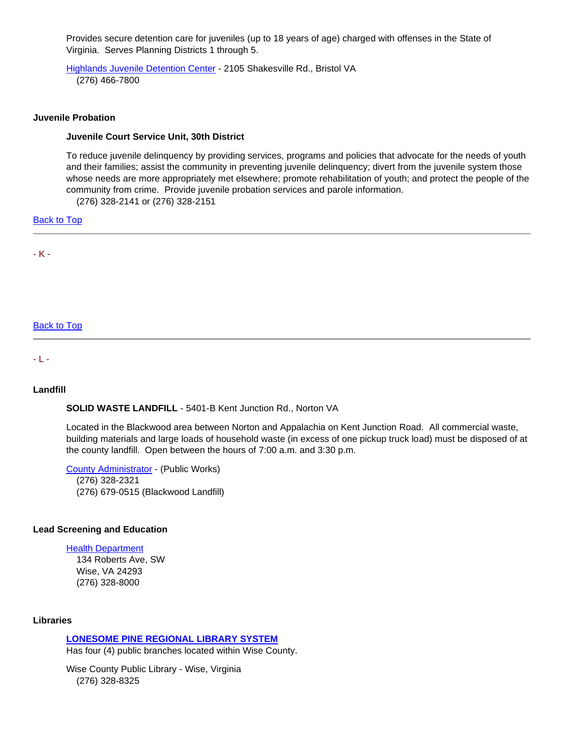Provides secure detention care for juveniles (up to 18 years of age) charged with offenses in the State of Virginia. Serves Planning Districts 1 through 5.

[Highlands Juvenile Detention Center](http://www.hjdc.org/AJC/HJDC.htm) - 2105 Shakesville Rd., Bristol VA (276) 466-7800

## **Juvenile Probation**

#### **Juvenile Court Service Unit, 30th District**

To reduce juvenile delinquency by providing services, programs and policies that advocate for the needs of youth and their families; assist the community in preventing juvenile delinquency; divert from the juvenile system those whose needs are more appropriately met elsewhere; promote rehabilitation of youth; and protect the people of the community from crime. Provide juvenile probation services and parole information.

(276) 328-2141 or (276) 328-2151

[Back to Top](#page-0-2)

<span id="page-19-0"></span>- K -

## [Back to Top](#page-0-2)

<span id="page-19-2"></span><span id="page-19-1"></span>- L -

## **Landfill**

**SOLID WASTE LANDFILL** - 5401-B Kent Junction Rd., Norton VA

Located in the Blackwood area between Norton and Appalachia on Kent Junction Road. All commercial waste, building materials and large loads of household waste (in excess of one pickup truck load) must be disposed of at the county landfill. Open between the hours of 7:00 a.m. and 3:30 p.m.

[County Administrator](http://www.wisecounty.org/Coadmin/coadmin.html#Public_Works) - (Public Works) (276) 328-2321 (276) 679-0515 (Blackwood Landfill)

#### **Lead Screening and Education**

[Health Department](http://www.vdh.virginia.gov/LHD/lenowisco/index.htm)  134 Roberts Ave, SW Wise, VA 24293

(276) 328-8000

**Libraries** 

# **[LONESOME PINE REGIONAL LIBRARY SYSTEM](http://www.lprlibrary.org/)**

Has four (4) public branches located within Wise County.

Wise County Public Library - Wise, Virginia (276) 328-8325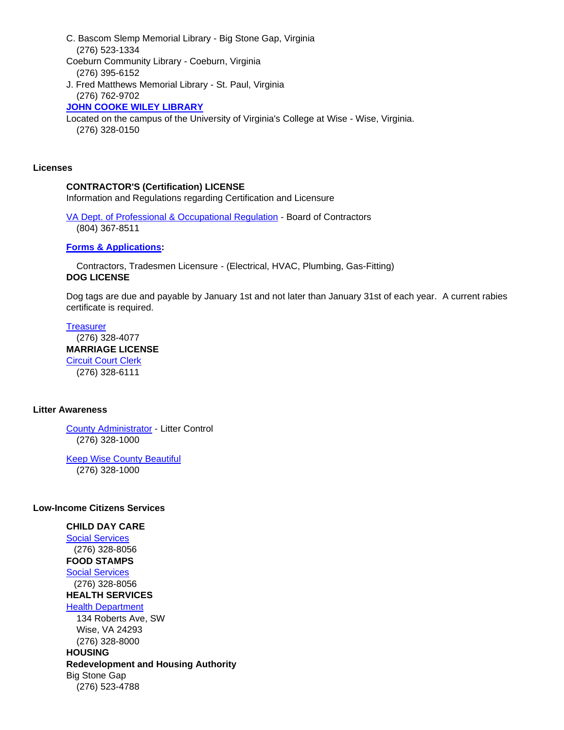- C. Bascom Slemp Memorial Library Big Stone Gap, Virginia (276) 523-1334
- Coeburn Community Library Coeburn, Virginia (276) 395-6152
- J. Fred Matthews Memorial Library St. Paul, Virginia (276) 762-9702

**[JOHN COOKE WILEY LIBRARY](http://lib.uvawise.edu/)**

Located on the campus of the University of Virginia's College at Wise - Wise, Virginia. (276) 328-0150

## **Licenses**

# **CONTRACTOR'S (Certification) LICENSE**

Information and Regulations regarding Certification and Licensure

[VA Dept. of Professional & Occupational Regulation](http://www.dpor.virginia.gov/Boards/Contractors/) - Board of Contractors (804) 367-8511

# **[Forms & Applications:](http://www.dpor.virginia.gov/FormsAndApplications/)**

 Contractors, Tradesmen Licensure - (Electrical, HVAC, Plumbing, Gas-Fitting) **DOG LICENSE**

Dog tags are due and payable by January 1st and not later than January 31st of each year. A current rabies certificate is required.

**[Treasurer](http://www.wisecounty.org/Treasurer/dog_tags.html)**  (276) 328-4077 **MARRIAGE LICENSE** [Circuit Court Clerk](http://www.courtbar.org/marriage.php) (276) 328-6111

## **Litter Awareness**

[County Administrator](http://www.wisecounty.org/Coadmin/coadmin.html#Litter_Control) - Litter Control (276) 328-1000

[Keep Wise County Beautiful](http://www.keepwisecountybeautiful.org/) (276) 328-1000

## **Low-Income Citizens Services**

#### **CHILD DAY CARE** [Social Services](http://www.wisecounty.org/DSS/dss.html)

 (276) 328-8056 **FOOD STAMPS**

[Social Services](http://www.wisecounty.org/DSS/dss.html) (276) 328-8056

**HEALTH SERVICES**

[Health Department](http://www.vdh.virginia.gov/LHD/lenowisco/index.htm)

 134 Roberts Ave, SW Wise, VA 24293 (276) 328-8000

**HOUSING Redevelopment and Housing Authority** Big Stone Gap (276) 523-4788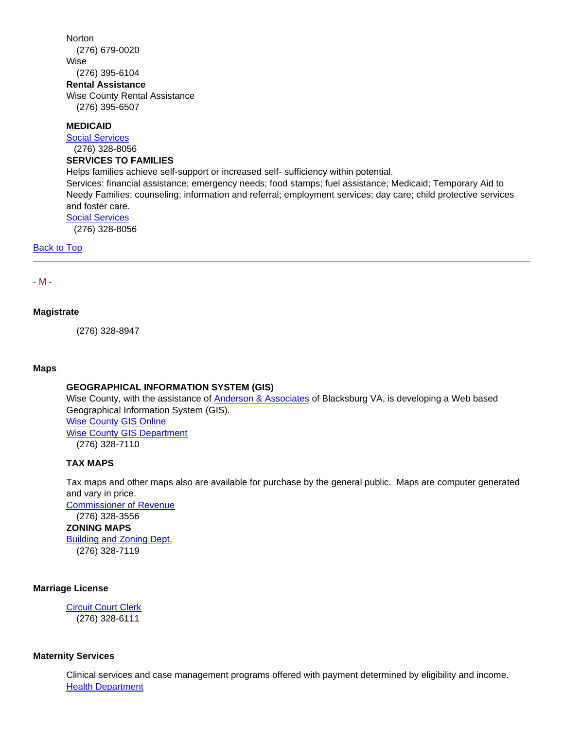# **Norton**  (276) 679-0020 Wise (276) 395-6104 **Rental Assistance** Wise County Rental Assistance (276) 395-6507

#### **MEDICAID**

[Social Services](http://www.wisecounty.org/DSS/dss.html)

(276) 328-8056

## **SERVICES TO FAMILIES**

Helps families achieve self-support or increased self- sufficiency within potential.

Services: financial assistance; emergency needs; food stamps; fuel assistance; Medicaid; Temporary Aid to Needy Families; counseling; information and referral; employment services; day care; child protective services and foster care.

[Social Services](http://www.wisecounty.org/DSS/dss.html)

(276) 328-8056

#### **[Back to Top](#page-0-2)**

#### <span id="page-21-0"></span>- M -

#### **Magistrate**

(276) 328-8947

#### **Maps**

## **GEOGRAPHICAL INFORMATION SYSTEM (GIS)**

Wise County, with the assistance of [Anderson & Associates](http://www.andassoc.com/) of Blacksburg VA, is developing a Web based Geographical Information System (GIS). [Wise County GIS Online](https://www.webgis.net/va/Wise/) [Wise County GIS Department](http://www.wisecounty.org/GIS/index.html) (276) 328-7110

## **TAX MAPS**

Tax maps and other maps also are available for purchase by the general public. Maps are computer generated and vary in price.

[Commissioner of Revenue](http://www.wisecounty.org/CommRev/commrev.htm) (276) 328-3556 **ZONING MAPS** [Building and Zoning Dept.](http://www.wisecounty.org/BuildingDept/buildinghome.html) (276) 328-7119

## **Marriage License**

**[Circuit Court Clerk](http://www.courtbar.org/marriage.php)** (276) 328-6111

#### **Maternity Services**

Clinical services and case management programs offered with payment determined by eligibility and income. [Health Department](http://www.vdh.virginia.gov/LHD/lenowisco/index.htm)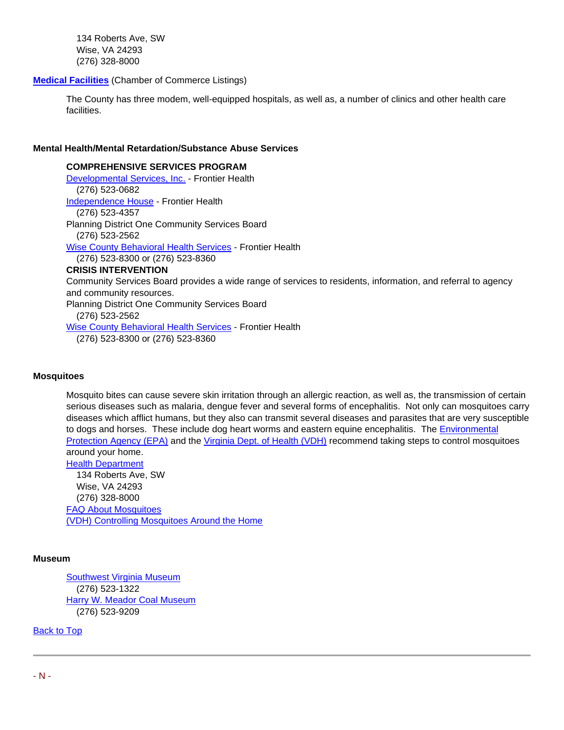134 Roberts Ave, SW Wise, VA 24293 (276) 328-8000

## **[Medical Facilities](http://www.wisecountychamber.org/?q=relocation/hospitals)** (Chamber of Commerce Listings)

The County has three modem, well-equipped hospitals, as well as, a number of clinics and other health care facilities.

## **Mental Health/Mental Retardation/Substance Abuse Services**

**COMPREHENSIVE SERVICES PROGRAM** [Developmental Services, Inc.](https://www.frontierhealth.org/developmental-disabilities-services/) - Frontier Health (276) 523-0682 [Independence House](https://www.frontierhealth.org/developmental-disabilities-services/) - Frontier Health (276) 523-4357 Planning District One Community Services Board (276) 523-256[2](https://www.frontierhealth.org/mental-health-services/) [Wise County Behavioral Health Services](https://www.frontierhealth.org/mental-health-services/) - Frontier Health (276) 523-8300 or (276) 523-8360 **CRISIS INTERVENTION** Community Services Board provides a wide range of services to residents, information, and referral to agency and community resources. Planning District One Community Services Board (276) 523-256[2](https://www.frontierhealth.org/mental-health-services/) Wise [County Behavioral Health Services](https://www.frontierhealth.org/mental-health-services/) - Frontier Health (276) 523-8300 or (276) 523-8360

## **Mosquitoes**

Mosquito bites can cause severe skin irritation through an allergic reaction, as well as, the transmission of certain serious diseases such as malaria, dengue fever and several forms of encephalitis. Not only can mosquitoes carry diseases which afflict humans, but they also can transmit several diseases and parasites that are very susceptible to dogs and horses. These include dog heart worms and eastern equine encephalitis. The [Environmental](http://www.epa.gov/)  [Protection Agency \(EPA\)](http://www.epa.gov/) and the [Virginia Dept. of Health \(VDH\)](http://www.vdh.virginia.gov/) recommend taking steps to control mosquitoes around your home. [Health Department](http://www.vdh.virginia.gov/LHD/lenowisco/index.htm)

 134 Roberts Ave, SW Wise, VA 24293 (276) 328-8000 [FAQ About Mosquitoes](http://www.vdh.virginia.gov/epidemiology/DEE/Vectorborne/mosquitofaq.htm) [\(VDH\) Controlling Mosquitoes Around the Home](http://www.vdh.virginia.gov/epidemiology/DEE/Vectorborne/WestNile/standingwater.htm)

## **Museum**

[Southwest Virginia Museum](http://www.dcr.virginia.gov/state_parks/sou.shtml) (276) 523-1322 [Harry W. Meador Coal Museum](http://www.bigstonegap.org/attract/coal.htm) (276) 523-9209

<span id="page-22-0"></span>[Back to Top](#page-0-2)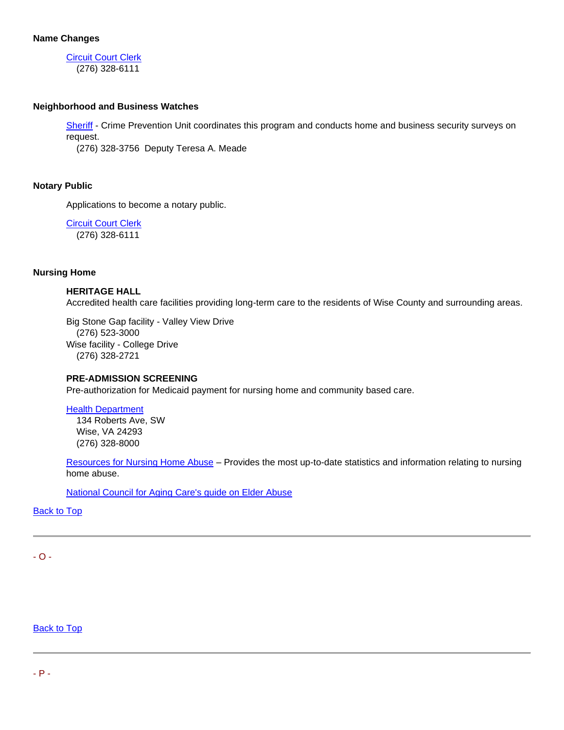[Circuit Court Clerk](http://www.courtbar.org/) (276) 328-6111

# **Neighborhood and Business Watches**

[Sheriff](http://www.wiseso.net/) - Crime Prevention Unit coordinates this program and conducts home and business security surveys on request.

(276) 328-3756 Deputy Teresa A. Meade

# **Notary Public**

Applications to become a notary public.

**[Circuit Court Clerk](http://www.courtbar.org/notary.php)** (276) 328-6111

## **Nursing Home**

## **HERITAGE HALL**

Accredited health care facilities providing long-term care to the residents of Wise County and surrounding areas.

Big Stone Gap facility - Valley View Drive (276) 523-3000 Wise facility - College Drive (276) 328-2721

## **PRE-ADMISSION SCREENING**

Pre-authorization for Medicaid payment for nursing home and community based care.

[Health Department](http://www.vdh.virginia.gov/LHD/lenowisco/index.htm) 

 134 Roberts Ave, SW Wise, VA 24293 (276) 328-8000

[Resources for Nursing Home Abuse](http://www.nursinghomeabusesupport.com/) – Provides the most up-to-date statistics and information relating to nursing home abuse.

[National Council for Aging Care's guide on Elder Abuse](http://www.aginginplace.org/guide-to-recognizing-elder-abuse/)

**Back to Top** 

<span id="page-23-0"></span>- O -

<span id="page-23-1"></span>**Back to Top**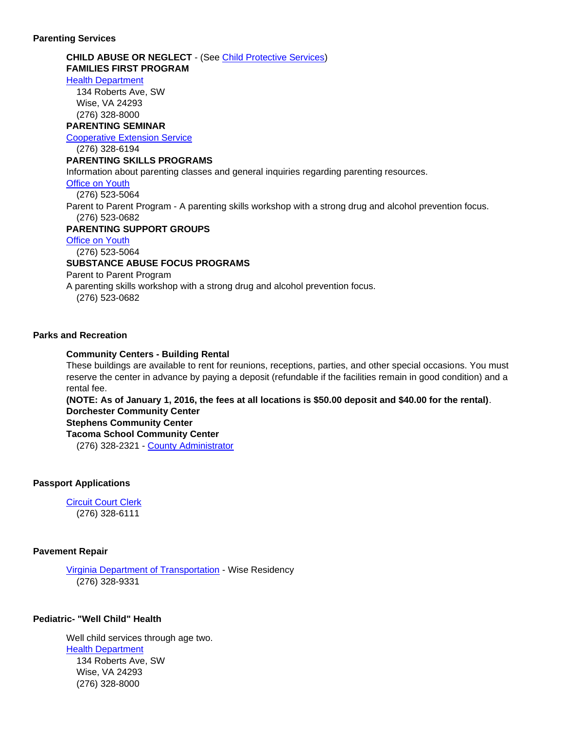#### **Parenting Services**

# **CHILD ABUSE OR NEGLECT** - (See [Child Protective Services\)](#page-5-1) **FAMILIES FIRST PROGRAM**

#### [Health Department](http://www.vdh.virginia.gov/LHD/lenowisco/index.htm)

 134 Roberts Ave, SW Wise, VA 24293 (276) 328-8000

## **PARENTING SEMINAR**

[Cooperative Extension Service](http://offices.ext.vt.edu/wise/)

(276) 328-6194

#### **PARENTING SKILLS PROGRAMS**

Information about parenting classes and general inquiries regarding parenting resources.

#### [Office on Youth](http://www.lpoy.org/)

(276) 523-5064

Parent to Parent Program - A parenting skills workshop with a strong drug and alcohol prevention focus. (276) 523-0682

#### **PARENTING SUPPORT GROUPS**

[Office on Youth](http://www.lpoy.org/)

(276) 523-5064

# **SUBSTANCE ABUSE FOCUS PROGRAMS**

Parent to Parent Program

A parenting skills workshop with a strong drug and alcohol prevention focus.

(276) 523-0682

# **Parks and Recreation**

## **Community Centers - Building Rental**

These buildings are available to rent for reunions, receptions, parties, and other special occasions. You must reserve the center in advance by paying a deposit (refundable if the facilities remain in good condition) and a rental fee.

**(NOTE: As of January 1, 2016, the fees at all locations is \$50.00 deposit and \$40.00 for the rental)**. **Dorchester Community Center Stephens Community Center Tacoma School Community Center**

(276) 328-2321 - [County Administrator](http://www.wisecounty.org/Coadmin/coadmin.html)

## **Passport Applications**

**[Circuit Court Clerk](http://www.courtbar.org/uspassports.php)** (276) 328-6111

## **Pavement Repair**

[Virginia Department of Transportation](http://www.vdot.virginia.gov/about/bristol_quick-directions.asp#wise) - Wise Residency (276) 328-9331

## **Pediatric- "Well Child" Health**

Well child services through age two. [Health Department](http://www.vdh.virginia.gov/LHD/lenowisco/index.htm) 134 Roberts Ave, SW Wise, VA 24293 (276) 328-8000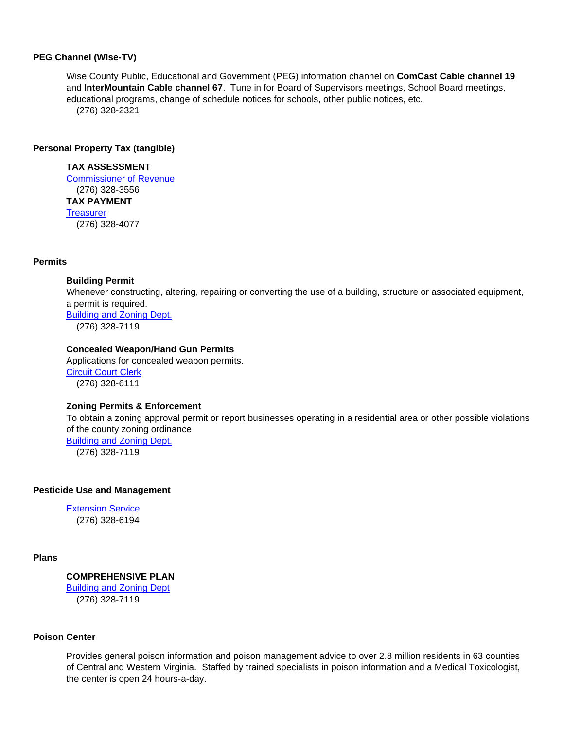#### **PEG Channel (Wise-TV)**

Wise County Public, Educational and Government (PEG) information channel on **ComCast Cable channel 19** and **InterMountain Cable channel 67**. Tune in for Board of Supervisors meetings, School Board meetings, educational programs, change of schedule notices for schools, other public notices, etc. (276) 328-2321

#### **Personal Property Tax (tangible)**

## **TAX ASSESSMENT**

[Commissioner of Revenue](http://www.wisecounty.org/CommRev/commrev.htm) (276) 328-3556 **TAX PAYMENT [Treasurer](http://www.wisecounty.org/Treasurer/pay_taxes.html)** (276) 328-4077

#### **Permits**

#### **Building Permit**

Whenever constructing, altering, repairing or converting the use of a building, structure or associated equipment, a permit is required. [Building and Zoning Dept.](http://www.wisecounty.org/BuildingDept/fee.html)

(276) 328-7119

# **Concealed Weapon/Hand Gun Permits**

Applications for concealed weapon permits. [Circuit Court Clerk](http://www.courtbar.org/) (276) 328-6111

# **Zoning Permits & Enforcement**

To obtain a zoning approval permit or report businesses operating in a residential area or other possible violations of the county zoning ordinanc[e](http://www.wisecounty.org/BuildingDept/zoneord.html) [Building and Zoning Dept.](http://www.wisecounty.org/BuildingDept/zoneord.html) (276) 328-7119

**Pesticide Use and Management** 

[Extension Service](http://offices.ext.vt.edu/wise/) (276) 328-6194

## **Plans**

**COMPREHENSIVE PLAN** [Building and Zoning Dept](http://www.wisecounty.org/BuildingDept/buildinghome.html) (276) 328-7119

# **Poison Center**

Provides general poison information and poison management advice to over 2.8 million residents in 63 counties of Central and Western Virginia. Staffed by trained specialists in poison information and a Medical Toxicologist, the center is open 24 hours-a-day.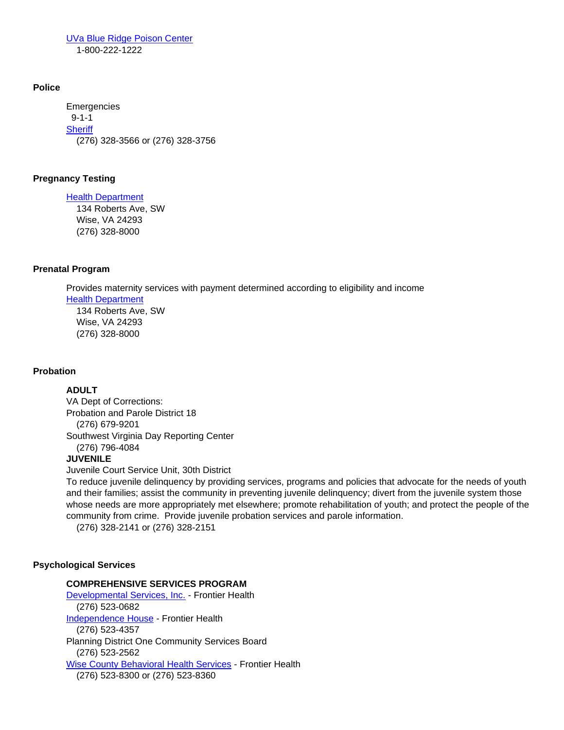[UVa Blue Ridge Poison Center](http://www.healthsystem.virginia.edu/internet/brpc/) 1-800-222-1222

## **Police**

Emergencies 9-1-1 **[Sheriff](http://www.wiseso.net/)** (276) 328-3566 or (276) 328-3756

# **Pregnancy Testing**

[Health Department](http://www.vdh.virginia.gov/LHD/lenowisco/index.htm) 134 Roberts Ave, SW Wise, VA 24293 (276) 328-8000

# **Prenatal Program**

Provides maternity services with payment determined according to eligibility and income [Health Department](http://www.vdh.virginia.gov/LHD/lenowisco/index.htm)  134 Roberts Ave, SW Wise, VA 24293 (276) 328-8000

## **Probation**

# **ADULT**

VA Dept of Corrections: Probation and Parole District 18 (276) 679-9201 Southwest Virginia Day Reporting Center (276) 796-4084

# **JUVENILE**

Juvenile Court Service Unit, 30th District

To reduce juvenile delinquency by providing services, programs and policies that advocate for the needs of youth and their families; assist the community in preventing juvenile delinquency; divert from the juvenile system those whose needs are more appropriately met elsewhere; promote rehabilitation of youth; and protect the people of the community from crime. Provide juvenile probation services and parole information.

(276) 328-2141 or (276) 328-2151

# **Psychological Services**

## **COMPREHENSIVE SERVICES PROGRAM**

[Developmental Services, Inc.](https://www.frontierhealth.org/developmental-disabilities-services/) - Frontier Health (276) 523-0682 [Independence House](https://www.frontierhealth.org/developmental-disabilities-services/) - Frontier Health (276) 523-4357 Planning District One Community Services Board (276) 523-256[2](https://www.frontierhealth.org/mental-health-services/) [Wise County Behavioral Health Services](https://www.frontierhealth.org/mental-health-services/) - Frontier Health (276) 523-8300 or (276) 523-8360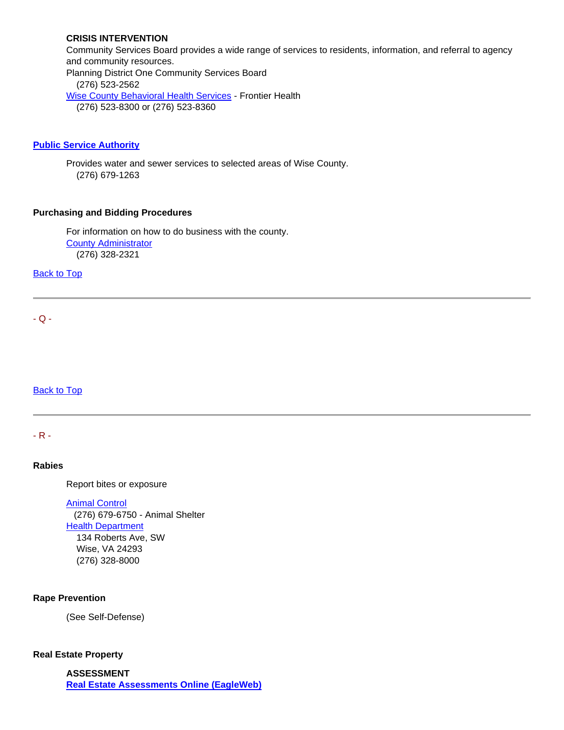# **CRISIS INTERVENTION**

Community Services Board provides a wide range of services to residents, information, and referral to agency and community resources. Planning District One Community Services Board (276) 523-256[2](https://www.frontierhealth.org/mental-health-services/) [Wise County Behavioral Health Services](https://www.frontierhealth.org/mental-health-services/) - Frontier Health (276) 523-8300 or (276) 523-8360

## **[Public Service Authority](http://www.wisecountypsa.org/)**

Provides water and sewer services to selected areas of Wise County. (276) 679-1263

# **Purchasing and Bidding Procedures**

For information on how to do business with the county. [County Administrator](http://www.wisecounty.org/Coadmin/coadmin.html) (276) 328-2321

**Back to Top** 

<span id="page-27-0"></span> $-Q -$ 

**Back to Top** 

<span id="page-27-1"></span>- R -

## **Rabies**

Report bites or exposure

[Animal Control](http://www.wisecounty.org/AnmlCtrl/index.html) (276) 679-6750 - Animal Shelter **[Health Department](http://www.vdh.virginia.gov/LHD/lenowisco/index.htm)**  134 Roberts Ave, SW Wise, VA 24293 (276) 328-8000

# **Rape Prevention**

(See Self-Defense)

## **Real Estate Property**

**ASSESSMENT [Real Estate Assessments Online \(EagleWeb\)](http://www.wise-assessor.org/assessor/web/)**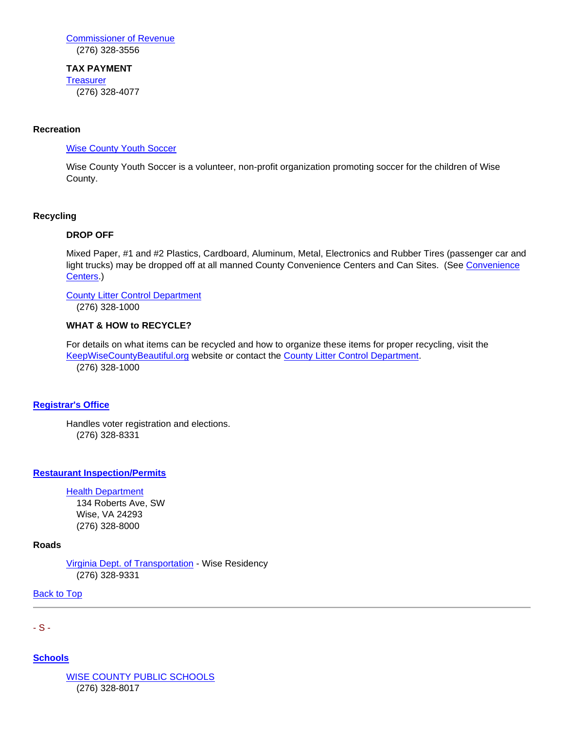[Commissioner of Revenue](http://www.wisecounty.org/CommRev/commrev.htm) (276) 328-3556

## **TAX PAYMENT**

**[Treasurer](http://www.wisecounty.org/Treasurer/pay_taxes.html)** 

(276) 328-4077

# **Recreation**

## [Wise County Youth Soccer](http://www.wisecountyyouthsoccer.org/)

Wise County Youth Soccer is a volunteer, non-profit organization promoting soccer for the children of Wise County.

# **Recycling**

## **DROP OFF**

Mixed Paper, #1 and #2 Plastics, Cardboard, Aluminum, Metal, Electronics and Rubber Tires (passenger car and light trucks) may be dropped off at all manned County Convenience Centers and Can Sites. (See [Convenience](#page-6-0)  [Centers.](#page-6-0))

## [County Litter Control Department](http://www.wisecounty.org/Coadmin/coadmin.html#Litter_Control)

(276) 328-1000

## **WHAT & HOW to RECYCLE?**

For details on what items can be recycled and how to organize these items for proper recycling, visit the [KeepWiseCountyBeautiful.org](http://keepwisecountybeautiful.org/information-more/recycling/) website or contact the [County Litter Control Department.](http://www.wisecounty.org/Coadmin/coadmin.html#Litter_Control) (276) 328-1000

# **[Registrar's Office](http://www.wisecounty.org/registrar/registrar.html)**

Handles voter registration and elections. (276) 328-8331

# **[Restaurant Inspection/Permits](http://www.healthspace.ca/Clients/VDH/Lenowisco/Lenowisco_Website.nsf)**

# **[Health Department](http://www.vdh.virginia.gov/LHD/lenowisco/index.htm)**

 134 Roberts Ave, SW Wise, VA 24293 (276) 328-8000

## **Roads**

[Virginia Dept. of Transportation](http://www.vdot.virginia.gov/about/bristol_quick-directions.asp#wise) - Wise Residency (276) 328-9331

[Back to Top](#page-0-2)

<span id="page-28-0"></span>- S -

**[Schools](http://www.wisecounty.org/schools.html)**

[WISE COUNTY PUBLIC SCHOOLS](http://www.wisek12.org/) (276) 328-8017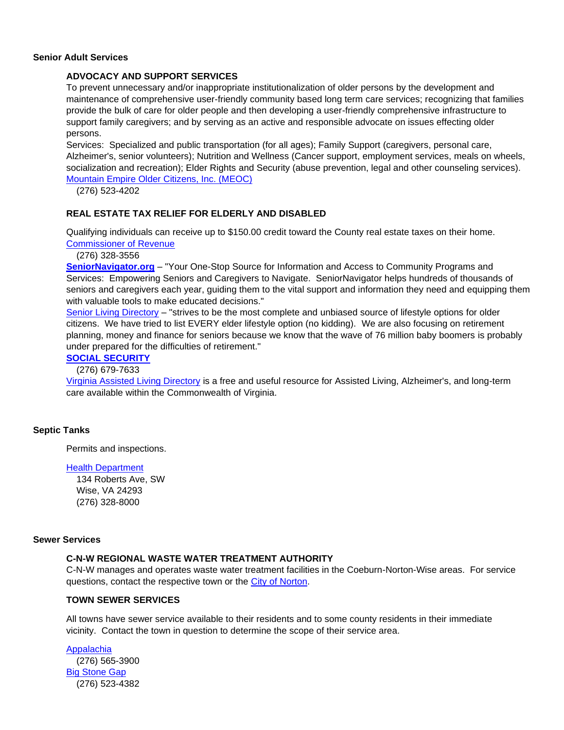#### **Senior Adult Services**

## **ADVOCACY AND SUPPORT SERVICES**

To prevent unnecessary and/or inappropriate institutionalization of older persons by the development and maintenance of comprehensive user-friendly community based long term care services; recognizing that families provide the bulk of care for older people and then developing a user-friendly comprehensive infrastructure to support family caregivers; and by serving as an active and responsible advocate on issues effecting older persons.

Services: Specialized and public transportation (for all ages); Family Support (caregivers, personal care, Alzheimer's, senior volunteers); Nutrition and Wellness (Cancer support, employment services, meals on wheels, socialization and recreation); Elder Rights and Security (abuse prevention, legal and other counseling services). [Mountain Empire Older Citizens, Inc. \(MEOC\)](http://meoc.org/)

(276) 523-4202

## **REAL ESTATE TAX RELIEF FOR ELDERLY AND DISABLED**

Qualifying individuals can receive up to \$150.00 credit toward the County real estate taxes on their home. [Commissioner of Revenue](http://www.wisecounty.org/CommRev/commrev.htm)

(276) 328-3556

**[SeniorNavigator.org](http://www.virginianavigator.org/sn/senior-navigator-home-page)** – "Your One-Stop Source for Information and Access to Community Programs and Services: Empowering Seniors and Caregivers to Navigate. SeniorNavigator helps hundreds of thousands of seniors and caregivers each year, guiding them to the vital support and information they need and equipping them with valuable tools to make educated decisions."

[Senior Living Directory](http://www.seniorliving.org/virginia/) – "strives to be the most complete and unbiased source of lifestyle options for older citizens. We have tried to list EVERY elder lifestyle option (no kidding). We are also focusing on retirement planning, money and finance for seniors because we know that the wave of 76 million baby boomers is probably under prepared for the difficulties of retirement."

## **[SOCIAL SECURITY](http://www.ssa.gov/)**

(276) 679-7633

[Virginia Assisted Living Directory](http://www.assisted-living-directory.com/content/virginia.htm) is a free and useful resource for Assisted Living, Alzheimer's, and long-term care available within the Commonwealth of Virginia.

## **Septic Tanks**

Permits and inspections.

#### [Health Department](http://www.vdh.virginia.gov/LHD/lenowisco/index.htm)

 134 Roberts Ave, SW Wise, VA 24293 (276) 328-8000

## **Sewer Services**

## **C-N-W REGIONAL WASTE WATER TREATMENT AUTHORITY**

C-N-W manages and operates waste water treatment facilities in the Coeburn-Norton-Wise areas. For service questions, contact the respective town or the [City of Norton.](http://www.nortonva.org/index.aspx?nid=80)

## **TOWN SEWER SERVICES**

All towns have sewer service available to their residents and to some county residents in their immediate vicinity. Contact the town in question to determine the scope of their service area.

[Appalachia](http://www.townofappalachiava.us/) (276) 565-3900 [Big Stone Gap](http://www.bigstonegap.org/contact.htm) (276) 523-4382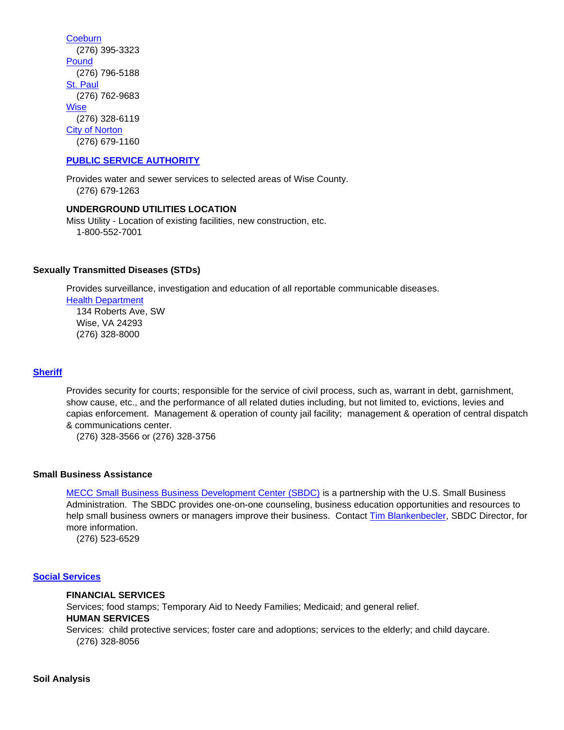**[Coeburn](http://www.townofcoeburn.com/)**  (276) 395-3323 **[Pound](http://www.poundva.com/)**  (276) 796-5188 [St. Paul](http://www.stpaulva.org/) (276) 762-9683 **[Wise](http://www.townofwise.net/)**  (276) 328-6119 [City of Norton](http://www.nortonva.org/index.aspx?nid=80) (276) 679-1160

## **[PUBLIC SERVICE AUTHORITY](http://www.wisecountypsa.org/)**

Provides water and sewer services to selected areas of Wise County. (276) 679-1263

## **UNDERGROUND UTILITIES LOCATION**

Miss Utility - Location of existing facilities, new construction, etc. 1-800-552-7001

#### **Sexually Transmitted Diseases (STDs)**

Provides surveillance, investigation and education of all reportable communicable diseases.

[Health Department](http://www.vdh.virginia.gov/LHD/lenowisco/index.htm)

 134 Roberts Ave, SW Wise, VA 24293 (276) 328-8000

## **[Sheriff](http://www.wiseso.net/)**

Provides security for courts; responsible for the service of civil process, such as, warrant in debt, garnishment, show cause, etc., and the performance of all related duties including, but not limited to, evictions, levies and capias enforcement. Management & operation of county jail facility; management & operation of central dispatch & communications center.

(276) 328-3566 or (276) 328-3756

#### **Small Business Assistance**

[MECC Small Business Business Development Center \(SBDC\)](http://www.mecc.edu/sbdc/) is a partnership with the U.S. Small Business Administration. The SBDC provides one-on-one counseling, business education opportunities and resources to help small business owners or managers improve their business. Contact [Tim Blankenbecler,](mailto:tblankenbecler@mecc.edu) SBDC Director, for more information.

(276) 523-6529

## **[Social Services](http://www.wisecounty.org/DSS/dss.html)**

#### **FINANCIAL SERVICES**

Services; food stamps; Temporary Aid to Needy Families; Medicaid; and general relief.

# **HUMAN SERVICES**

Services: child protective services; foster care and adoptions; services to the elderly; and child daycare. (276) 328-8056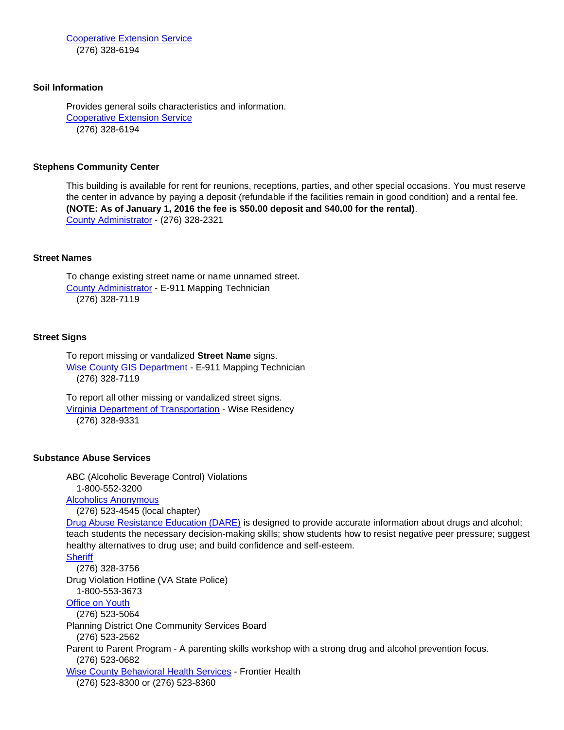[Cooperative Extension Service](http://offices.ext.vt.edu/wise/)  (276) 328-6194

#### **Soil Information**

Provides general soils characteristics and information. [Cooperative Extension Service](http://offices.ext.vt.edu/wise/) (276) 328-6194

#### **Stephens Community Center**

This building is available for rent for reunions, receptions, parties, and other special occasions. You must reserve the center in advance by paying a deposit (refundable if the facilities remain in good condition) and a rental fee. **(NOTE: As of January 1, 2016 the fee is \$50.00 deposit and \$40.00 for the rental)**. [County Administrator](http://www.wisecounty.org/Coadmin/coadmin.html) - (276) 328-2321

#### **Street Names**

To change existing street name or name unnamed street. [County Administrator](http://www.wisecounty.org/Coadmin/coadmin.html#E911_Maps) - E-911 Mapping Technician (276) 328-7119

#### **Street Signs**

To report missing or vandalized **Street Name** signs. [Wise County GIS Department](http://www.wisecounty.org/GIS/index.html) - E-911 Mapping Technician (276) 328-7119

To report all other missing or vandalized street signs. [Virginia Department of Transportation](http://www.vdot.virginia.gov/about/bristol_quick-directions.asp#wise) - Wise Residency (276) 328-9331

#### **Substance Abuse Services**

ABC (Alcoholic Beverage Control) Violations 1-800-552-3200 [Alcoholics Anonymous](http://www.aa.org/) (276) 523-4545 (local chapter) [Drug Abuse Resistance Education \(DARE\)](http://www.dare-america.com/) is designed to provide accurate information about drugs and alcohol; teach students the necessary decision-making skills; show students how to resist negative peer pressure; suggest healthy alternatives to drug use; and build confidence and self-esteem. **[Sheriff](http://www.wiseso.net/)**  (276) 328-3756 Drug Violation Hotline (VA State Police) 1-800-553-3673 [Office on Youth](http://www.lpoy.org/) (276) 523-5064 Planning District One Community Services Board (276) 523-2562 Parent to Parent Program - A parenting skills workshop with a strong drug and alcohol prevention focus. (276) 523-0682 [Wise County Behavioral Health Services](https://www.frontierhealth.org/mental-health-services/) - Frontier Health (276) 523-8300 or (276) 523-8360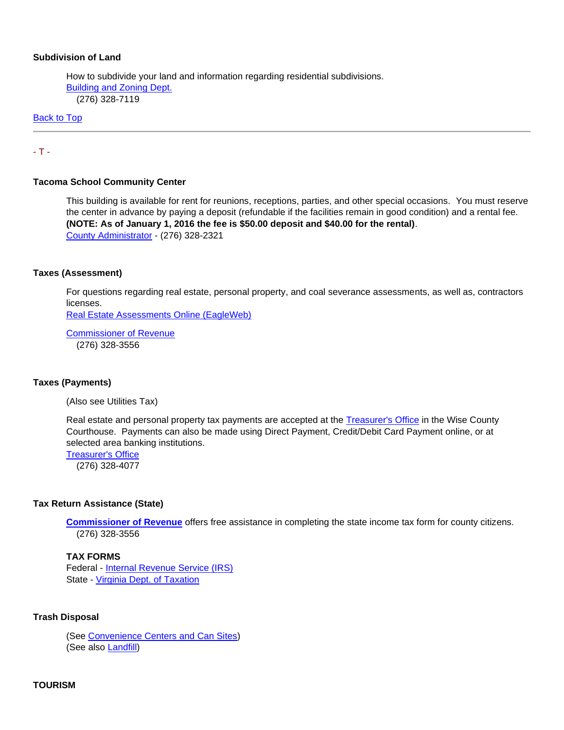#### **Subdivision of Land**

How to subdivide your land and information regarding residential subdivisions. [Building and Zoning Dept.](http://www.wisecounty.org/BuildingDept/buildinghome.html) (276) 328-7119

[Back to Top](#page-0-2)

## <span id="page-32-0"></span>- T -

#### **Tacoma School Community Center**

This building is available for rent for reunions, receptions, parties, and other special occasions. You must reserve the center in advance by paying a deposit (refundable if the facilities remain in good condition) and a rental fee. **(NOTE: As of January 1, 2016 the fee is \$50.00 deposit and \$40.00 for the rental)**. [County Administrator](http://www.wisecounty.org/Coadmin/coadmin.html) - (276) 328-2321

#### **Taxes (Assessment)**

For questions regarding real estate, personal property, and coal severance assessments, as well as, contractors licenses.

[Real Estate Assessments Online \(EagleWeb\)](http://www.wise-assessor.org/assessor/web/)

[Commissioner of Revenue](http://www.wisecounty.org/CommRev/commrev.htm) (276) 328-3556

#### **Taxes (Payments)**

(Also see Utilities Tax)

Real estate and personal property tax payments are accepted at the [Treasurer's Office](http://www.wisecounty.org/Treasurer/treasurer.html) in the Wise County Courthouse. Payments can also be made using Direct Payment, Credit/Debit Card Payment online, or at selected area banking institutions[.](http://www.wisecounty.org/Treasurer/pay_taxes.html)

[Treasurer's Office](http://www.wisecounty.org/Treasurer/pay_taxes.html) (276) 328-4077

#### **Tax Return Assistance (State)**

**[Commissioner of Revenue](http://www.wisecounty.org/CommRev/commrev.htm)** offers free assistance in completing the state income tax form for county citizens. (276) 328-3556

#### **TAX FORMS**

Federal - [Internal Revenue Service \(IRS\)](http://www.irs.ustreas.gov/formspubs/index.html) State - [Virginia Dept. of](http://www.tax.virginia.gov/site.cfm?alias=NeedAForm) Taxation

#### **Trash Disposal**

(See [Convenience Centers and Can Sites\)](#page-6-0) (See also [Landfill\)](#page-19-2)

## **TOURISM**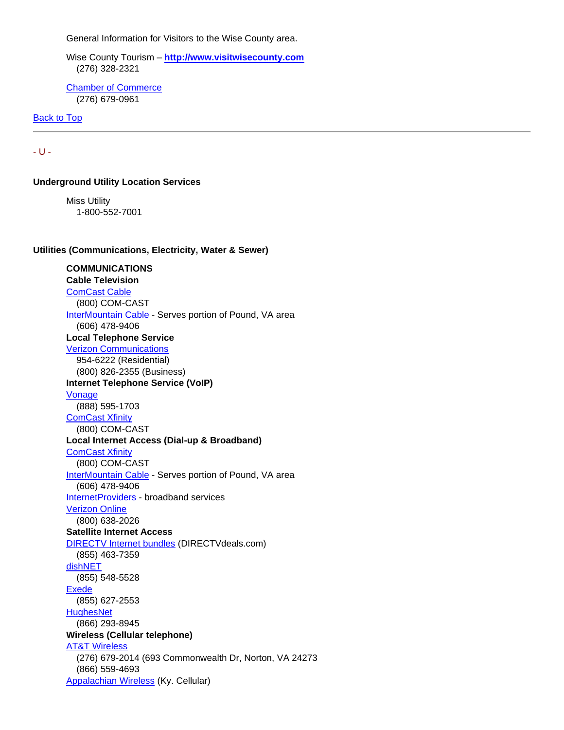General Information for Visitors to the Wise County area.

Wise County Tourism – **[http://www.visitwisecounty.com](http://www.visitwisecounty.com/)** (276) 328-2321

[Chamber of Commerce](http://www.wisecountychamber.org/) (276) 679-0961

[Back to Top](#page-0-2)

<span id="page-33-0"></span>- U -

**Underground Utility Location Services** 

Miss Utility 1-800-552-7001

**Utilities (Communications, Electricity, Water & Sewer)**

# **COMMUNICATIONS Cable Television** [ComCast Cable](http://www.comcast.com/) (800) COM-CAST [InterMountain Cable](http://www.imctv.com/) - Serves portion of Pound, VA area (606) 478-9406 **Local Telephone Service** [Verizon Communications](https://www.verizon.com/) 954-6222 (Residential) (800) 826-2355 (Business) **Internet Telephone Service (VoIP)** [Vonage](http://phone.vonage.com/) (888) 595-1703 [ComCast Xfinity](http://www.comcast.com/)  (800) COM-CAST **Local Internet Access (Dial-up & Broadband)** [ComCast Xfinity](http://www.comcast.com/)  (800) COM-CAST [InterMountain Cable](http://www.imctv.com/) - Serves portion of Pound, VA area (606) 478-9406 [InternetProviders](http://www.internetproviders.com/broadband/) - broadband services [Verizon Online](https://www.verizon.com/local/virginia) (800) 638-2026 **Satellite Internet Access** [DIRECTV Internet bundles](http://www.directvdeals.com/directv-internet/) (DIRECTVdeals.com) (855) 463-7359 [dishNET](http://www.dishpromotions.com/dishnet.asp) (855) 548-5528 [Exede](http://www.exede.com/) (855) 627-2553 **[HughesNet](http://www.hughesnet.com/)**  (866) 293-8945 **Wireless (Cellular telephone)** [AT&T Wireless](http://www.att.com/wireless/) (276) 679-2014 (693 Commonwealth Dr, Norton, VA 24273 (866) 559-4693 [Appalachian Wireless](http://www.appalachianwireless.com/) (Ky. Cellular)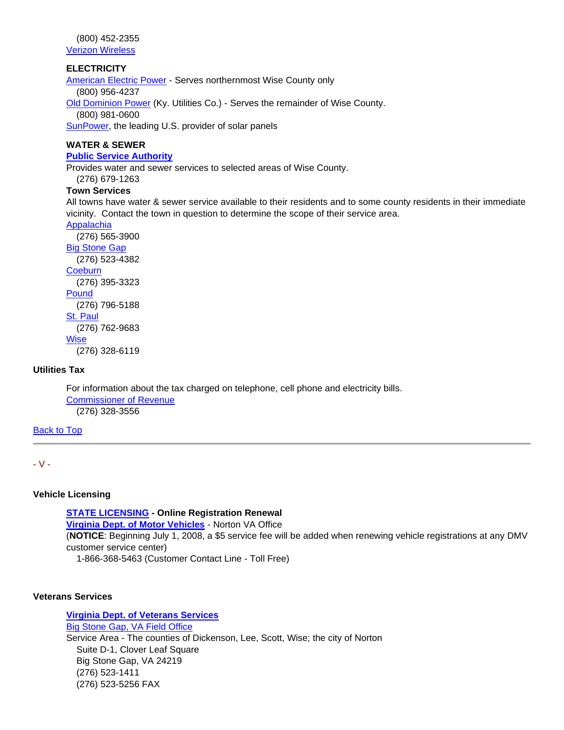(800) 452-2355

[Verizon Wireless](http://www.verizonwireless.com/)

# **ELECTRICITY**

[American Electric Power](http://www.aep.com/) - Serves northernmost Wise County only (800) 956-4237 [Old Dominion Power](https://lge-ku.com/our-company/about-odp) (Ky. Utilities Co.) - Serves the remainder of Wise County. (800) 981-0600

[SunPower,](http://us.sunpower.com/) the leading U.S. provider of solar panels

# **WATER & SEWER**

# **[Public Service Authority](http://www.wisecountypsa.org/)**

Provides water and sewer services to selected areas of Wise County.

# (276) 679-1263

# **Town Services**

All towns have water & sewer service available to their residents and to some county residents in their immediate vicinity. Contact the town in question to determine the scope of their service area.

# [Appalachia](http://www.townofappalachiava.us/)

 (276) 565-3900 [Big Stone Gap](http://www.bigstonegap.org/contact.htm) (276) 523-4382 **[Coeburn](http://www.townofcoeburn.com/)**  (276) 395-3323 [Pound](http://www.poundva.com/) (276) 796-5188 [St. Paul](http://www.stpaulva.org/) (276) 762-9683 **[Wise](http://www.townofwise.net/)** (276) 328-6119

# **Utilities Tax**

For information about the tax charged on telephone, cell phone and electricity bills. [Commissioner of Revenue](http://www.wisecounty.org/CommRev/commrev.htm) (276) 328-3556

# [Back to Top](#page-0-2)

# <span id="page-34-0"></span>- V -

# **Vehicle Licensing**

**[STATE LICENSING](https://www.dmv.virginia.gov/dmvnet/registration/regist_entry.asp) - Online Registration Renewal [Virginia Dept. of Motor Vehicles](https://www.dmv.virginia.gov/exec/csc/csc.asp?id=60)** - Norton VA Office (**NOTICE**: Beginning July 1, 2008, a \$5 service fee will be added when renewing vehicle registrations at any DMV customer service center) 1-866-368-5463 (Customer Contact Line - Toll Free)

# **Veterans Services**

# **[Virginia Dept. of Veterans Services](http://www.dvs.virginia.gov/)** [Big Stone Gap, VA Field Office](http://www.dvs.virginia.gov/dvs/locations/big-stone-gap-field-office/) Service Area - The counties of Dickenson, Lee, Scott, Wise; the city of Norton Suite D-1, Clover Leaf Square Big Stone Gap, VA 24219 (276) 523-1411 (276) 523-5256 FAX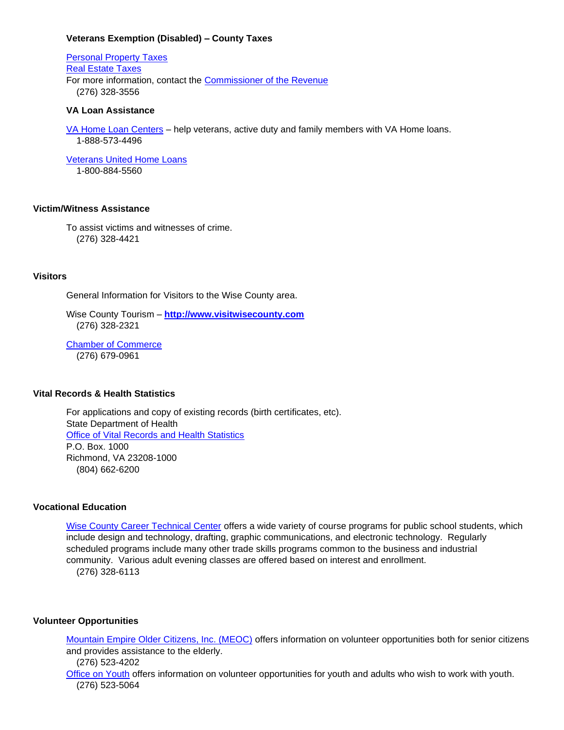#### **Veterans Exemption (Disabled) – County Taxes**

[Personal Property Taxes](http://www.wisecounty.org/CommRev/disabvet_exempt.html) [Real Estate Taxes](http://www.wisecounty.org/CommRev/veterantaxrelief.html) For more information, contact the [Commissioner of the Revenue](http://www.wisecounty.org/CommRev/commrev.htm) (276) 328-3556

#### **VA Loan Assistance**

[VA Home Loan Centers](https://www.vahomeloancenters.org/virginia-va-home-loan-limits/) – help veterans, active duty and family members with VA Home loans. 1-888-573-4496

[Veterans United Home Loans](https://www.veteransunited.com/) 1-800-884-5560

## **Victim/Witness Assistance**

To assist victims and witnesses of crime. (276) 328-4421

## **Visitors**

General Information for Visitors to the Wise County area.

Wise County Tourism – **[http://www.visitwisecounty.com](http://www.visitwisecounty.com/)** (276) 328-2321

[Chamber of Commerce](http://www.wisecountychamber.org/) (276) 679-0961

#### **Vital Records & Health Statistics**

For applications and copy of existing records (birth certificates, etc). State Department of Health [Office of Vital Records and Health Statistics](http://www.vdh.virginia.gov/Vital_Records/index.htm) P.O. Box. 1000 Richmond, VA 23208-1000 (804) 662-6200

## **Vocational Education**

[Wise County Career Technical Center](http://www.wise.k12.va.us/wcctc/default.htm) offers a wide variety of course programs for public school students, which include design and technology, drafting, graphic communications, and electronic technology. Regularly scheduled programs include many other trade skills programs common to the business and industrial community. Various adult evening classes are offered based on interest and enrollment. (276) 328-6113

#### **Volunteer Opportunities**

[Mountain Empire Older Citizens, Inc. \(MEOC\)](http://meoc.org/) offers information on volunteer opportunities both for senior citizens and provides assistance to the elderly. (276) 523-4202

[Office on Youth](http://www.wisecounty.org/LPOY/lpoy.html) offers information on volunteer opportunities for youth and adults who wish to work with youth. (276) 523-5064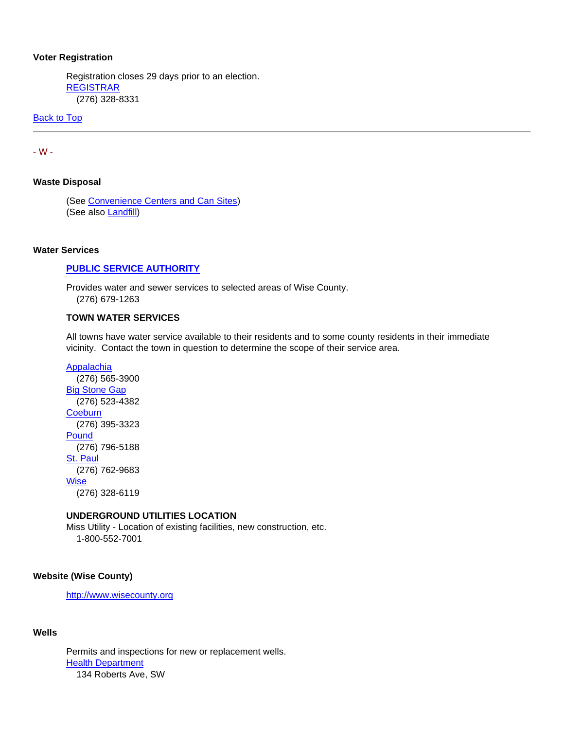#### **Voter Registration**

Registration closes 29 days prior to an election. [REGISTRAR](http://www.wisecounty.org/registrar/registrar.html) (276) 328-8331

**[Back to Top](#page-0-2)** 

<span id="page-36-0"></span>- W -

# **Waste Disposal**

(See [Convenience Centers and Can Sites\)](#page-6-0) (See also [Landfill\)](#page-19-2)

### **Water Services**

# **[PUBLIC SERVICE AUTHORITY](http://www.wisecountypsa.org/)**

Provides water and sewer services to selected areas of Wise County. (276) 679-1263

#### **TOWN WATER SERVICES**

All towns have water service available to their residents and to some county residents in their immediate vicinity. Contact the town in question to determine the scope of their service area.

[Appalachia](http://www.townofappalachiava.us/) (276) 565-3900 **[Big Stone Gap](http://www.bigstonegap.org/contact.htm)**  (276) 523-4382 **[Coeburn](http://www.townofcoeburn.com/)**  (276) 395-3323 [Pound](http://www.poundva.com/) (276) 796-5188 [St. Paul](http://www.stpaulva.org/) (276) 762-9683 **[Wise](http://www.townofwise.net/)** (276) 328-6119

#### **UNDERGROUND UTILITIES LOCATION**

Miss Utility - Location of existing facilities, new construction, etc. 1-800-552-7001

## **Website (Wise County)**

[http://www.wisecounty.org](http://www.wisecounty.org/)

#### **Wells**

Permits and inspections for new or replacement wells. [Health Department](http://www.vdh.virginia.gov/LHD/lenowisco/index.htm) 134 Roberts Ave, SW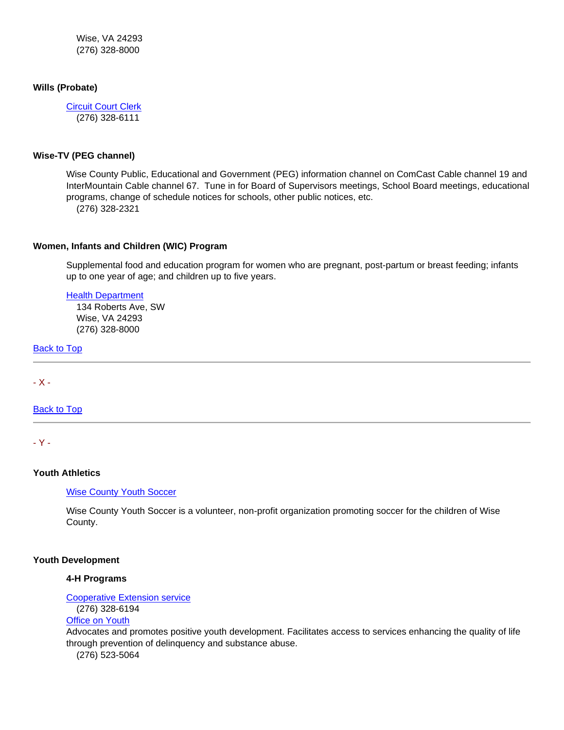Wise, VA 24293 (276) 328-8000

## **Wills (Probate)**

[Circuit Court Clerk](http://www.courtbar.org/) (276) 328-6111

## **Wise-TV (PEG channel)**

Wise County Public, Educational and Government (PEG) information channel on ComCast Cable channel 19 and InterMountain Cable channel 67. Tune in for Board of Supervisors meetings, School Board meetings, educational programs, change of schedule notices for schools, other public notices, etc.

(276) 328-2321

## **Women, Infants and Children (WIC) Program**

Supplemental food and education program for women who are pregnant, post-partum or breast feeding; infants up to one year of age; and children up to five years.

## [Health Department](http://www.vdh.virginia.gov/LHD/lenowisco/index.htm)

 134 Roberts Ave, SW Wise, VA 24293 (276) 328-8000

[Back to Top](#page-0-2)

<span id="page-37-0"></span>- X -

[Back to Top](#page-0-2)

<span id="page-37-1"></span>- Y -

## **Youth Athletics**

[Wise County Youth Soccer](http://www.wisecountyyouthsoccer.org/)

Wise County Youth Soccer is a volunteer, non-profit organization promoting soccer for the children of Wise County.

## **Youth Development**

# **4-H Programs**

[Cooperative Extension service](http://offices.ext.vt.edu/wise/)

(276) 328-6194

# [Office on Youth](http://www.lpoy.org/)

Advocates and promotes positive youth development. Facilitates access to services enhancing the quality of life through prevention of delinquency and substance abuse.

(276) 523-5064